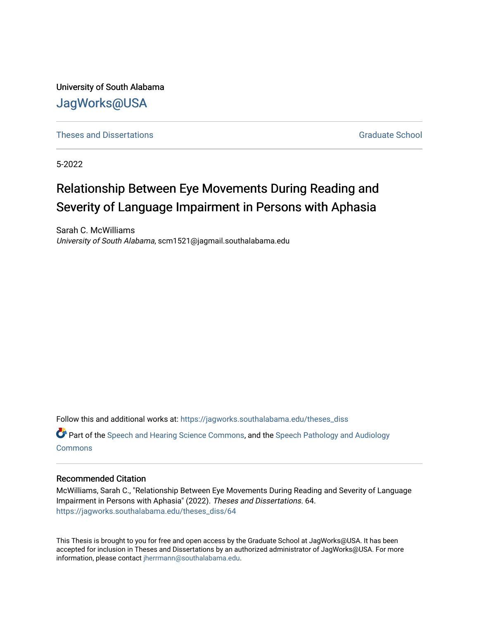University of South Alabama [JagWorks@USA](https://jagworks.southalabama.edu/) 

**[Theses and Dissertations](https://jagworks.southalabama.edu/theses_diss)** [Graduate School](https://jagworks.southalabama.edu/gradschool) Communications Graduate School Communications Graduate School Communications of the Communications of the Communications of the Communications of the Communications of the Communi

5-2022

## Relationship Between Eye Movements During Reading and Severity of Language Impairment in Persons with Aphasia

Sarah C. McWilliams University of South Alabama, scm1521@jagmail.southalabama.edu

Follow this and additional works at: [https://jagworks.southalabama.edu/theses\\_diss](https://jagworks.southalabama.edu/theses_diss?utm_source=jagworks.southalabama.edu%2Ftheses_diss%2F64&utm_medium=PDF&utm_campaign=PDFCoverPages) 

Part of the [Speech and Hearing Science Commons](https://network.bepress.com/hgg/discipline/1033?utm_source=jagworks.southalabama.edu%2Ftheses_diss%2F64&utm_medium=PDF&utm_campaign=PDFCoverPages), and the [Speech Pathology and Audiology](https://network.bepress.com/hgg/discipline/1035?utm_source=jagworks.southalabama.edu%2Ftheses_diss%2F64&utm_medium=PDF&utm_campaign=PDFCoverPages) **[Commons](https://network.bepress.com/hgg/discipline/1035?utm_source=jagworks.southalabama.edu%2Ftheses_diss%2F64&utm_medium=PDF&utm_campaign=PDFCoverPages)** 

### Recommended Citation

McWilliams, Sarah C., "Relationship Between Eye Movements During Reading and Severity of Language Impairment in Persons with Aphasia" (2022). Theses and Dissertations. 64. [https://jagworks.southalabama.edu/theses\\_diss/64](https://jagworks.southalabama.edu/theses_diss/64?utm_source=jagworks.southalabama.edu%2Ftheses_diss%2F64&utm_medium=PDF&utm_campaign=PDFCoverPages) 

This Thesis is brought to you for free and open access by the Graduate School at JagWorks@USA. It has been accepted for inclusion in Theses and Dissertations by an authorized administrator of JagWorks@USA. For more information, please contact [jherrmann@southalabama.edu.](mailto:jherrmann@southalabama.edu)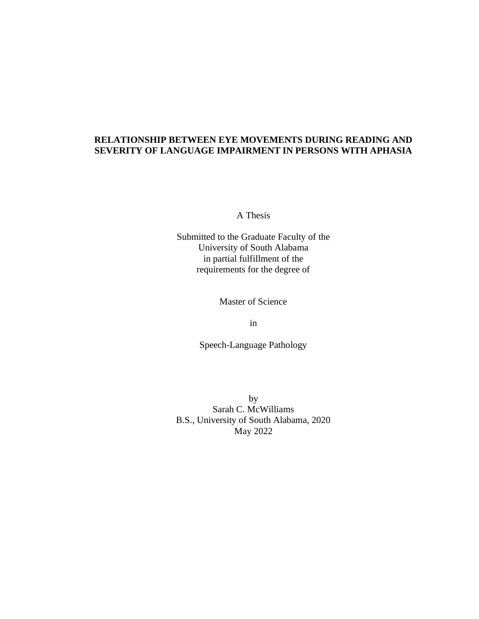### **RELATIONSHIP BETWEEN EYE MOVEMENTS DURING READING AND SEVERITY OF LANGUAGE IMPAIRMENT IN PERSONS WITH APHASIA**

A Thesis

Submitted to the Graduate Faculty of the University of South Alabama in partial fulfillment of the requirements for the degree of

Master of Science

in

Speech-Language Pathology

by Sarah C. McWilliams B.S., University of South Alabama, 2020 May 2022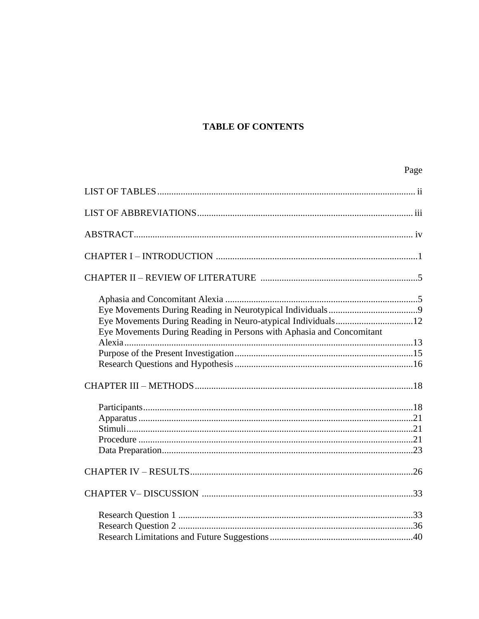### **TABLE OF CONTENTS**

|--|

| Eye Movements During Reading in Neuro-atypical Individuals12<br>Eye Movements During Reading in Persons with Aphasia and Concomitant |  |
|--------------------------------------------------------------------------------------------------------------------------------------|--|
|                                                                                                                                      |  |
|                                                                                                                                      |  |
|                                                                                                                                      |  |
|                                                                                                                                      |  |
|                                                                                                                                      |  |
|                                                                                                                                      |  |
|                                                                                                                                      |  |
|                                                                                                                                      |  |
|                                                                                                                                      |  |
|                                                                                                                                      |  |
|                                                                                                                                      |  |
|                                                                                                                                      |  |
|                                                                                                                                      |  |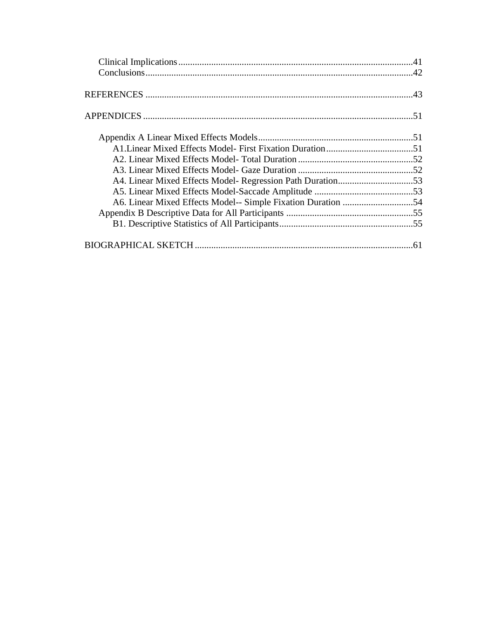| A4. Linear Mixed Effects Model- Regression Path Duration53 |  |
|------------------------------------------------------------|--|
|                                                            |  |
|                                                            |  |
|                                                            |  |
|                                                            |  |
|                                                            |  |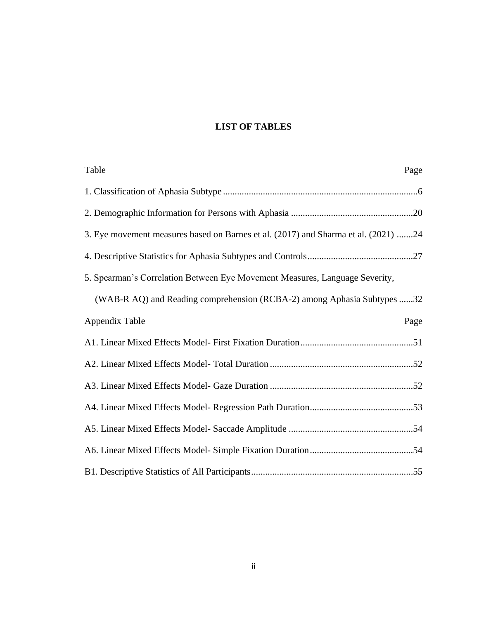### **LIST OF TABLES**

| Table<br>Page                                                                      |
|------------------------------------------------------------------------------------|
|                                                                                    |
|                                                                                    |
| 3. Eye movement measures based on Barnes et al. (2017) and Sharma et al. (2021) 24 |
|                                                                                    |
| 5. Spearman's Correlation Between Eye Movement Measures, Language Severity,        |
| (WAB-R AQ) and Reading comprehension (RCBA-2) among Aphasia Subtypes 32            |
| Appendix Table<br>Page                                                             |
|                                                                                    |
|                                                                                    |
|                                                                                    |
|                                                                                    |
|                                                                                    |
|                                                                                    |
|                                                                                    |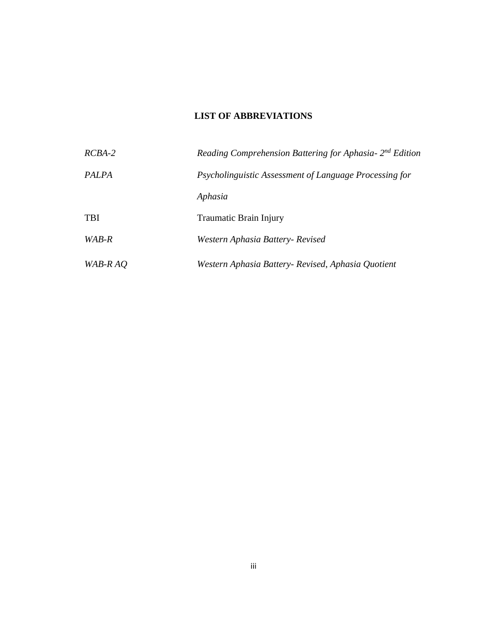### **LIST OF ABBREVIATIONS**

| $RCBA-2$   | Reading Comprehension Battering for Aphasia- 2 <sup>nd</sup> Edition |
|------------|----------------------------------------------------------------------|
| PALPA      | Psycholinguistic Assessment of Language Processing for               |
|            | Aphasia                                                              |
| <b>TBI</b> | Traumatic Brain Injury                                               |
| WAB-R      | Western Aphasia Battery- Revised                                     |
| WAB-R AO   | Western Aphasia Battery- Revised, Aphasia Quotient                   |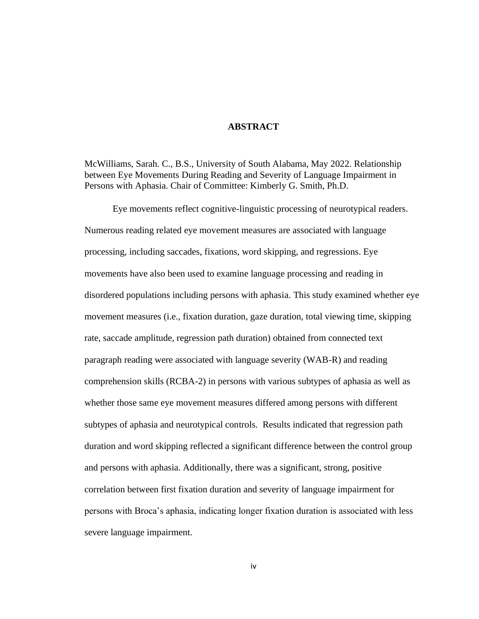### **ABSTRACT**

McWilliams, Sarah. C., B.S., University of South Alabama, May 2022. Relationship between Eye Movements During Reading and Severity of Language Impairment in Persons with Aphasia. Chair of Committee: Kimberly G. Smith, Ph.D.

Eye movements reflect cognitive-linguistic processing of neurotypical readers. Numerous reading related eye movement measures are associated with language processing, including saccades, fixations, word skipping, and regressions. Eye movements have also been used to examine language processing and reading in disordered populations including persons with aphasia. This study examined whether eye movement measures (i.e., fixation duration, gaze duration, total viewing time, skipping rate, saccade amplitude, regression path duration) obtained from connected text paragraph reading were associated with language severity (WAB-R) and reading comprehension skills (RCBA-2) in persons with various subtypes of aphasia as well as whether those same eye movement measures differed among persons with different subtypes of aphasia and neurotypical controls. Results indicated that regression path duration and word skipping reflected a significant difference between the control group and persons with aphasia. Additionally, there was a significant, strong, positive correlation between first fixation duration and severity of language impairment for persons with Broca's aphasia, indicating longer fixation duration is associated with less severe language impairment.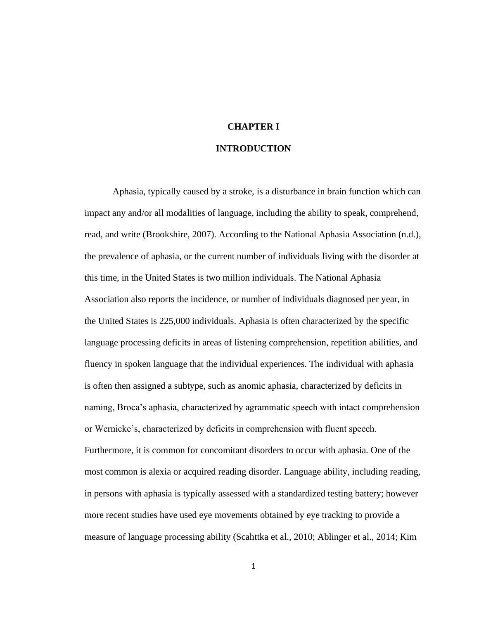# **CHAPTER I**

### **INTRODUCTION**

Aphasia, typically caused by a stroke, is a disturbance in brain function which can impact any and/or all modalities of language, including the ability to speak, comprehend, read, and write (Brookshire, 2007). According to the National Aphasia Association (n.d.), the prevalence of aphasia, or the current number of individuals living with the disorder at this time, in the United States is two million individuals. The National Aphasia Association also reports the incidence, or number of individuals diagnosed per year, in the United States is 225,000 individuals. Aphasia is often characterized by the specific language processing deficits in areas of listening comprehension, repetition abilities, and fluency in spoken language that the individual experiences. The individual with aphasia is often then assigned a subtype, such as anomic aphasia, characterized by deficits in naming, Broca's aphasia, characterized by agrammatic speech with intact comprehension or Wernicke's, characterized by deficits in comprehension with fluent speech. Furthermore, it is common for concomitant disorders to occur with aphasia. One of the most common is alexia or acquired reading disorder. Language ability, including reading, in persons with aphasia is typically assessed with a standardized testing battery; however more recent studies have used eye movements obtained by eye tracking to provide a measure of language processing ability (Scahttka et al., 2010; Ablinger et al., 2014; Kim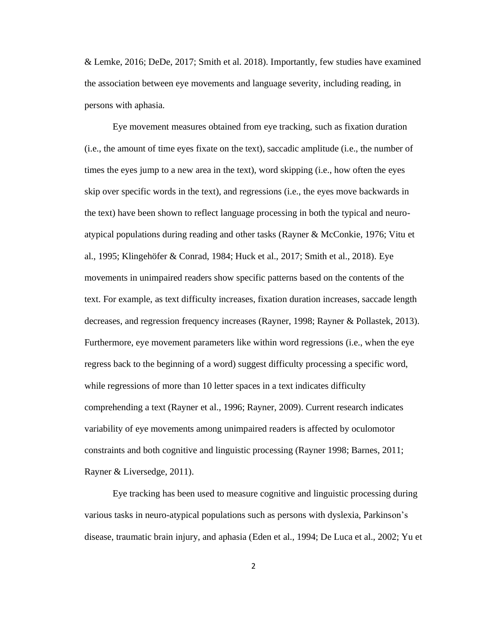& Lemke, 2016; DeDe, 2017; Smith et al. 2018). Importantly, few studies have examined the association between eye movements and language severity, including reading, in persons with aphasia.

 Eye movement measures obtained from eye tracking, such as fixation duration (i.e., the amount of time eyes fixate on the text), saccadic amplitude (i.e., the number of times the eyes jump to a new area in the text), word skipping (i.e., how often the eyes skip over specific words in the text), and regressions (i.e., the eyes move backwards in the text) have been shown to reflect language processing in both the typical and neuroatypical populations during reading and other tasks (Rayner & McConkie, 1976; Vitu et al., 1995; Klingehöfer & Conrad, 1984; Huck et al., 2017; Smith et al., 2018). Eye movements in unimpaired readers show specific patterns based on the contents of the text. For example, as text difficulty increases, fixation duration increases, saccade length decreases, and regression frequency increases (Rayner, 1998; Rayner & Pollastek, 2013). Furthermore, eye movement parameters like within word regressions (i.e., when the eye regress back to the beginning of a word) suggest difficulty processing a specific word, while regressions of more than 10 letter spaces in a text indicates difficulty comprehending a text (Rayner et al., 1996; Rayner, 2009). Current research indicates variability of eye movements among unimpaired readers is affected by oculomotor constraints and both cognitive and linguistic processing (Rayner 1998; Barnes, 2011; Rayner & Liversedge, 2011).

 Eye tracking has been used to measure cognitive and linguistic processing during various tasks in neuro-atypical populations such as persons with dyslexia, Parkinson's disease, traumatic brain injury, and aphasia (Eden et al., 1994; De Luca et al., 2002; Yu et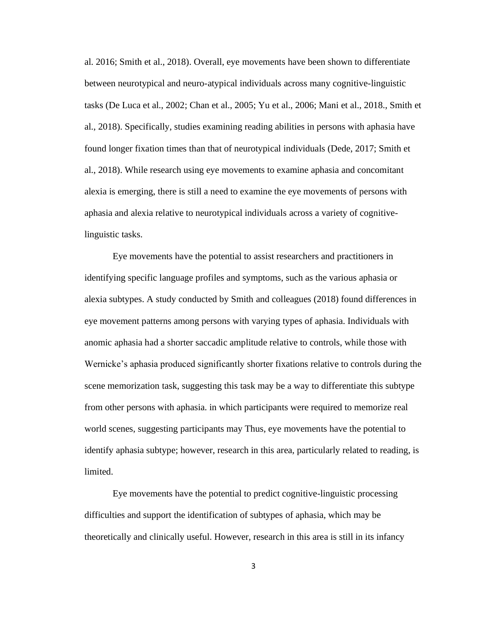al. 2016; Smith et al., 2018). Overall, eye movements have been shown to differentiate between neurotypical and neuro-atypical individuals across many cognitive-linguistic tasks (De Luca et al., 2002; Chan et al., 2005; Yu et al., 2006; Mani et al., 2018., Smith et al., 2018). Specifically, studies examining reading abilities in persons with aphasia have found longer fixation times than that of neurotypical individuals (Dede, 2017; Smith et al., 2018). While research using eye movements to examine aphasia and concomitant alexia is emerging, there is still a need to examine the eye movements of persons with aphasia and alexia relative to neurotypical individuals across a variety of cognitivelinguistic tasks.

Eye movements have the potential to assist researchers and practitioners in identifying specific language profiles and symptoms, such as the various aphasia or alexia subtypes. A study conducted by Smith and colleagues (2018) found differences in eye movement patterns among persons with varying types of aphasia. Individuals with anomic aphasia had a shorter saccadic amplitude relative to controls, while those with Wernicke's aphasia produced significantly shorter fixations relative to controls during the scene memorization task, suggesting this task may be a way to differentiate this subtype from other persons with aphasia. in which participants were required to memorize real world scenes, suggesting participants may Thus, eye movements have the potential to identify aphasia subtype; however, research in this area, particularly related to reading, is limited.

Eye movements have the potential to predict cognitive-linguistic processing difficulties and support the identification of subtypes of aphasia, which may be theoretically and clinically useful. However, research in this area is still in its infancy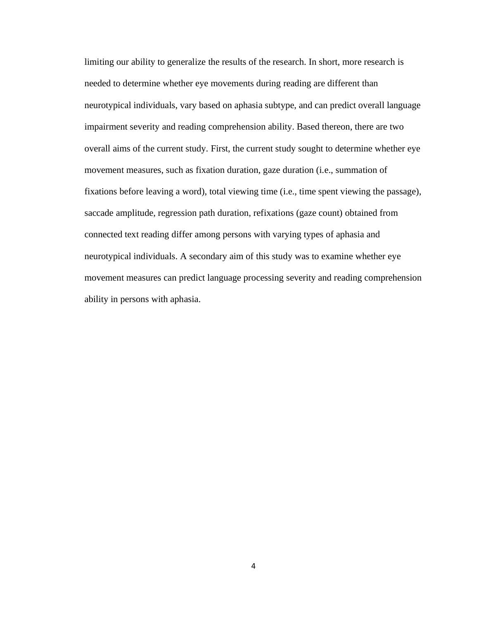limiting our ability to generalize the results of the research. In short, more research is needed to determine whether eye movements during reading are different than neurotypical individuals, vary based on aphasia subtype, and can predict overall language impairment severity and reading comprehension ability. Based thereon, there are two overall aims of the current study. First, the current study sought to determine whether eye movement measures, such as fixation duration, gaze duration (i.e., summation of fixations before leaving a word), total viewing time (i.e., time spent viewing the passage), saccade amplitude, regression path duration, refixations (gaze count) obtained from connected text reading differ among persons with varying types of aphasia and neurotypical individuals. A secondary aim of this study was to examine whether eye movement measures can predict language processing severity and reading comprehension ability in persons with aphasia.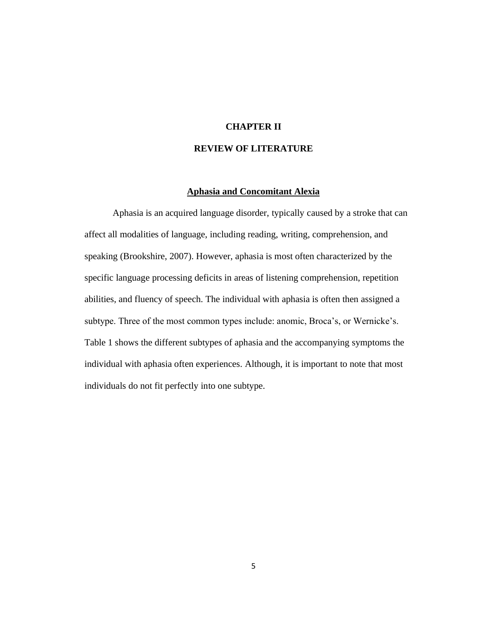### **CHAPTER II**

### **REVIEW OF LITERATURE**

#### **Aphasia and Concomitant Alexia**

Aphasia is an acquired language disorder, typically caused by a stroke that can affect all modalities of language, including reading, writing, comprehension, and speaking (Brookshire, 2007). However, aphasia is most often characterized by the specific language processing deficits in areas of listening comprehension, repetition abilities, and fluency of speech. The individual with aphasia is often then assigned a subtype. Three of the most common types include: anomic, Broca's, or Wernicke's. Table 1 shows the different subtypes of aphasia and the accompanying symptoms the individual with aphasia often experiences. Although, it is important to note that most individuals do not fit perfectly into one subtype.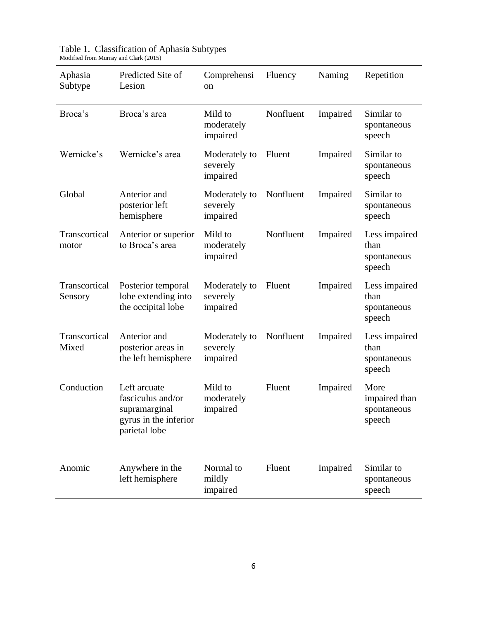| Aphasia<br>Subtype       | Predicted Site of<br>Lesion                                                                  | Comprehensi<br>on                     | Fluency   | Naming   | Repetition                                     |
|--------------------------|----------------------------------------------------------------------------------------------|---------------------------------------|-----------|----------|------------------------------------------------|
| Broca's                  | Broca's area                                                                                 | Mild to<br>moderately<br>impaired     | Nonfluent | Impaired | Similar to<br>spontaneous<br>speech            |
| Wernicke's               | Wernicke's area                                                                              | Moderately to<br>severely<br>impaired | Fluent    | Impaired | Similar to<br>spontaneous<br>speech            |
| Global                   | Anterior and<br>posterior left<br>hemisphere                                                 | Moderately to<br>severely<br>impaired | Nonfluent | Impaired | Similar to<br>spontaneous<br>speech            |
| Transcortical<br>motor   | Anterior or superior<br>to Broca's area                                                      | Mild to<br>moderately<br>impaired     | Nonfluent | Impaired | Less impaired<br>than<br>spontaneous<br>speech |
| Transcortical<br>Sensory | Posterior temporal<br>lobe extending into<br>the occipital lobe                              | Moderately to<br>severely<br>impaired | Fluent    | Impaired | Less impaired<br>than<br>spontaneous<br>speech |
| Transcortical<br>Mixed   | Anterior and<br>posterior areas in<br>the left hemisphere                                    | Moderately to<br>severely<br>impaired | Nonfluent | Impaired | Less impaired<br>than<br>spontaneous<br>speech |
| Conduction               | Left arcuate<br>fasciculus and/or<br>supramarginal<br>gyrus in the inferior<br>parietal lobe | Mild to<br>moderately<br>impaired     | Fluent    | Impaired | More<br>impaired than<br>spontaneous<br>speech |
| Anomic                   | Anywhere in the<br>left hemisphere                                                           | Normal to<br>mildly<br>impaired       | Fluent    | Impaired | Similar to<br>spontaneous<br>speech            |

| Table 1. Classification of Aphasia Subtypes |  |
|---------------------------------------------|--|
| Modified from Murray and Clark (2015)       |  |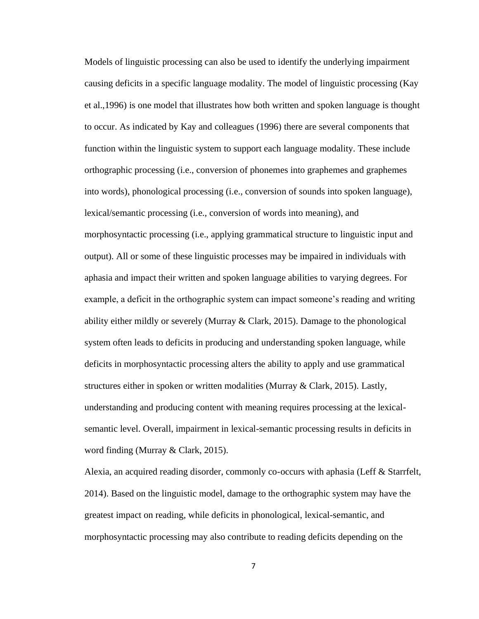Models of linguistic processing can also be used to identify the underlying impairment causing deficits in a specific language modality. The model of linguistic processing (Kay et al.,1996) is one model that illustrates how both written and spoken language is thought to occur. As indicated by Kay and colleagues (1996) there are several components that function within the linguistic system to support each language modality. These include orthographic processing (i.e., conversion of phonemes into graphemes and graphemes into words), phonological processing (i.e., conversion of sounds into spoken language), lexical/semantic processing (i.e., conversion of words into meaning), and morphosyntactic processing (i.e., applying grammatical structure to linguistic input and output). All or some of these linguistic processes may be impaired in individuals with aphasia and impact their written and spoken language abilities to varying degrees. For example, a deficit in the orthographic system can impact someone's reading and writing ability either mildly or severely (Murray & Clark, 2015). Damage to the phonological system often leads to deficits in producing and understanding spoken language, while deficits in morphosyntactic processing alters the ability to apply and use grammatical structures either in spoken or written modalities (Murray & Clark, 2015). Lastly, understanding and producing content with meaning requires processing at the lexicalsemantic level. Overall, impairment in lexical-semantic processing results in deficits in word finding (Murray & Clark, 2015).

Alexia, an acquired reading disorder, commonly co-occurs with aphasia (Leff & Starrfelt, 2014). Based on the linguistic model, damage to the orthographic system may have the greatest impact on reading, while deficits in phonological, lexical-semantic, and morphosyntactic processing may also contribute to reading deficits depending on the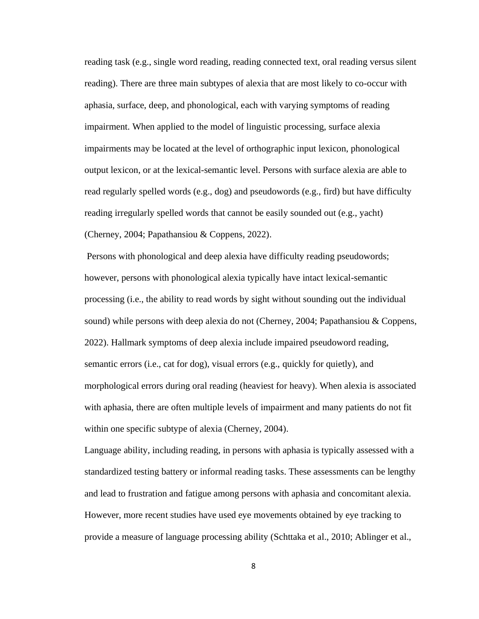reading task (e.g., single word reading, reading connected text, oral reading versus silent reading). There are three main subtypes of alexia that are most likely to co-occur with aphasia, surface, deep, and phonological, each with varying symptoms of reading impairment. When applied to the model of linguistic processing, surface alexia impairments may be located at the level of orthographic input lexicon, phonological output lexicon, or at the lexical-semantic level. Persons with surface alexia are able to read regularly spelled words (e.g., dog) and pseudowords (e.g., fird) but have difficulty reading irregularly spelled words that cannot be easily sounded out (e.g., yacht) (Cherney, 2004; Papathansiou & Coppens, 2022).

Persons with phonological and deep alexia have difficulty reading pseudowords; however, persons with phonological alexia typically have intact lexical-semantic processing (i.e., the ability to read words by sight without sounding out the individual sound) while persons with deep alexia do not (Cherney, 2004; Papathansiou  $&$  Coppens, 2022). Hallmark symptoms of deep alexia include impaired pseudoword reading, semantic errors (i.e., cat for dog), visual errors (e.g., quickly for quietly), and morphological errors during oral reading (heaviest for heavy). When alexia is associated with aphasia, there are often multiple levels of impairment and many patients do not fit within one specific subtype of alexia (Cherney, 2004).

Language ability, including reading, in persons with aphasia is typically assessed with a standardized testing battery or informal reading tasks. These assessments can be lengthy and lead to frustration and fatigue among persons with aphasia and concomitant alexia. However, more recent studies have used eye movements obtained by eye tracking to provide a measure of language processing ability (Schttaka et al., 2010; Ablinger et al.,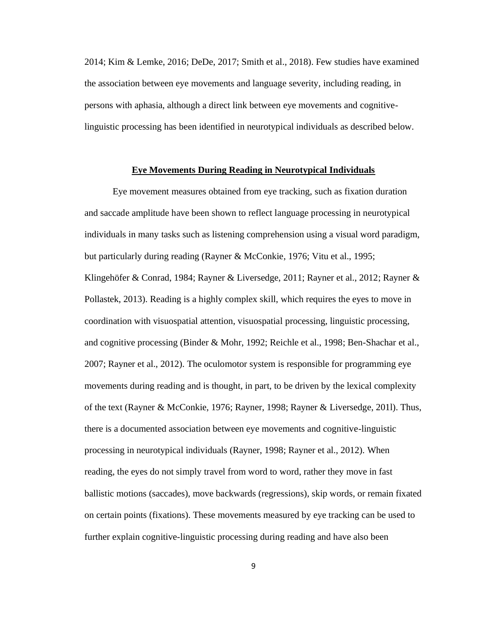2014; Kim & Lemke, 2016; DeDe, 2017; Smith et al., 2018). Few studies have examined the association between eye movements and language severity, including reading, in persons with aphasia, although a direct link between eye movements and cognitivelinguistic processing has been identified in neurotypical individuals as described below.

### **Eye Movements During Reading in Neurotypical Individuals**

 Eye movement measures obtained from eye tracking, such as fixation duration and saccade amplitude have been shown to reflect language processing in neurotypical individuals in many tasks such as listening comprehension using a visual word paradigm, but particularly during reading (Rayner & McConkie, 1976; Vitu et al., 1995; Klingehöfer & Conrad, 1984; Rayner & Liversedge, 2011; Rayner et al., 2012; Rayner & Pollastek, 2013). Reading is a highly complex skill, which requires the eyes to move in coordination with visuospatial attention, visuospatial processing, linguistic processing, and cognitive processing (Binder & Mohr, 1992; Reichle et al., 1998; Ben-Shachar et al., 2007; Rayner et al., 2012). The oculomotor system is responsible for programming eye movements during reading and is thought, in part, to be driven by the lexical complexity of the text (Rayner & McConkie, 1976; Rayner, 1998; Rayner & Liversedge, 201l). Thus, there is a documented association between eye movements and cognitive-linguistic processing in neurotypical individuals (Rayner, 1998; Rayner et al., 2012). When reading, the eyes do not simply travel from word to word, rather they move in fast ballistic motions (saccades), move backwards (regressions), skip words, or remain fixated on certain points (fixations). These movements measured by eye tracking can be used to further explain cognitive-linguistic processing during reading and have also been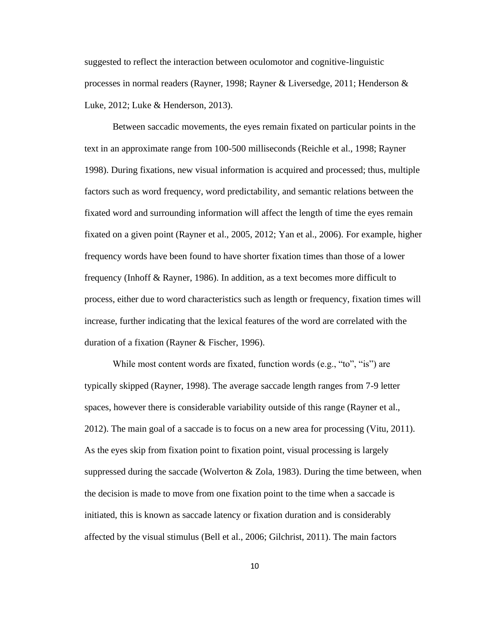suggested to reflect the interaction between oculomotor and cognitive-linguistic processes in normal readers (Rayner, 1998; Rayner & Liversedge, 2011; Henderson & Luke, 2012; Luke & Henderson, 2013).

 Between saccadic movements, the eyes remain fixated on particular points in the text in an approximate range from 100-500 milliseconds (Reichle et al., 1998; Rayner 1998). During fixations, new visual information is acquired and processed; thus, multiple factors such as word frequency, word predictability, and semantic relations between the fixated word and surrounding information will affect the length of time the eyes remain fixated on a given point (Rayner et al., 2005, 2012; Yan et al., 2006). For example, higher frequency words have been found to have shorter fixation times than those of a lower frequency (Inhoff & Rayner, 1986). In addition, as a text becomes more difficult to process, either due to word characteristics such as length or frequency, fixation times will increase, further indicating that the lexical features of the word are correlated with the duration of a fixation (Rayner & Fischer, 1996).

While most content words are fixated, function words (e.g., "to", "is") are typically skipped (Rayner, 1998). The average saccade length ranges from 7-9 letter spaces, however there is considerable variability outside of this range (Rayner et al., 2012). The main goal of a saccade is to focus on a new area for processing (Vitu, 2011). As the eyes skip from fixation point to fixation point, visual processing is largely suppressed during the saccade (Wolverton  $& Z$ Ola, 1983). During the time between, when the decision is made to move from one fixation point to the time when a saccade is initiated, this is known as saccade latency or fixation duration and is considerably affected by the visual stimulus (Bell et al., 2006; Gilchrist, 2011). The main factors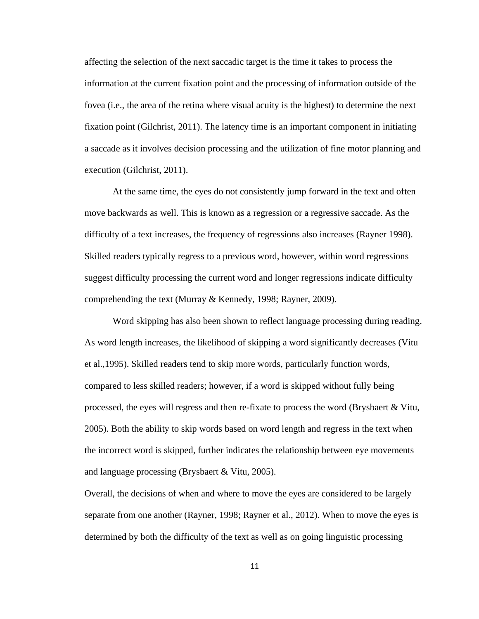affecting the selection of the next saccadic target is the time it takes to process the information at the current fixation point and the processing of information outside of the fovea (i.e., the area of the retina where visual acuity is the highest) to determine the next fixation point (Gilchrist, 2011). The latency time is an important component in initiating a saccade as it involves decision processing and the utilization of fine motor planning and execution (Gilchrist, 2011).

At the same time, the eyes do not consistently jump forward in the text and often move backwards as well. This is known as a regression or a regressive saccade. As the difficulty of a text increases, the frequency of regressions also increases (Rayner 1998). Skilled readers typically regress to a previous word, however, within word regressions suggest difficulty processing the current word and longer regressions indicate difficulty comprehending the text (Murray & Kennedy, 1998; Rayner, 2009).

Word skipping has also been shown to reflect language processing during reading. As word length increases, the likelihood of skipping a word significantly decreases (Vitu et al.,1995). Skilled readers tend to skip more words, particularly function words, compared to less skilled readers; however, if a word is skipped without fully being processed, the eyes will regress and then re-fixate to process the word (Brysbaert & Vitu, 2005). Both the ability to skip words based on word length and regress in the text when the incorrect word is skipped, further indicates the relationship between eye movements and language processing (Brysbaert & Vitu, 2005).

Overall, the decisions of when and where to move the eyes are considered to be largely separate from one another (Rayner, 1998; Rayner et al., 2012). When to move the eyes is determined by both the difficulty of the text as well as on going linguistic processing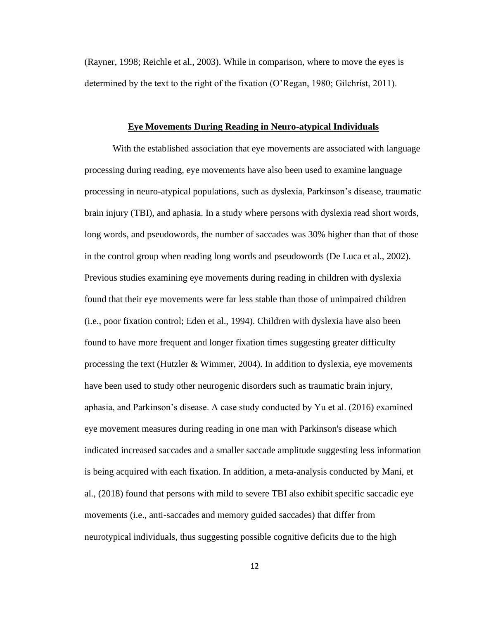(Rayner, 1998; Reichle et al., 2003). While in comparison, where to move the eyes is determined by the text to the right of the fixation (O'Regan, 1980; Gilchrist, 2011).

#### **Eye Movements During Reading in Neuro-atypical Individuals**

 With the established association that eye movements are associated with language processing during reading, eye movements have also been used to examine language processing in neuro-atypical populations, such as dyslexia, Parkinson's disease, traumatic brain injury (TBI), and aphasia. In a study where persons with dyslexia read short words, long words, and pseudowords, the number of saccades was 30% higher than that of those in the control group when reading long words and pseudowords (De Luca et al., 2002). Previous studies examining eye movements during reading in children with dyslexia found that their eye movements were far less stable than those of unimpaired children (i.e., poor fixation control; Eden et al., 1994). Children with dyslexia have also been found to have more frequent and longer fixation times suggesting greater difficulty processing the text (Hutzler & Wimmer, 2004). In addition to dyslexia, eye movements have been used to study other neurogenic disorders such as traumatic brain injury, aphasia, and Parkinson's disease. A case study conducted by Yu et al. (2016) examined eye movement measures during reading in one man with Parkinson's disease which indicated increased saccades and a smaller saccade amplitude suggesting less information is being acquired with each fixation. In addition, a meta-analysis conducted by Mani, et al., (2018) found that persons with mild to severe TBI also exhibit specific saccadic eye movements (i.e., anti-saccades and memory guided saccades) that differ from neurotypical individuals, thus suggesting possible cognitive deficits due to the high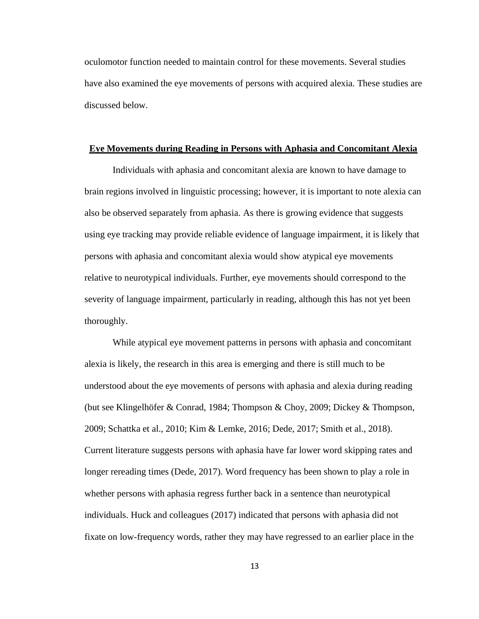oculomotor function needed to maintain control for these movements. Several studies have also examined the eye movements of persons with acquired alexia. These studies are discussed below.

#### **Eye Movements during Reading in Persons with Aphasia and Concomitant Alexia**

Individuals with aphasia and concomitant alexia are known to have damage to brain regions involved in linguistic processing; however, it is important to note alexia can also be observed separately from aphasia. As there is growing evidence that suggests using eye tracking may provide reliable evidence of language impairment, it is likely that persons with aphasia and concomitant alexia would show atypical eye movements relative to neurotypical individuals. Further, eye movements should correspond to the severity of language impairment, particularly in reading, although this has not yet been thoroughly.

While atypical eye movement patterns in persons with aphasia and concomitant alexia is likely, the research in this area is emerging and there is still much to be understood about the eye movements of persons with aphasia and alexia during reading (but see Klingelhöfer & Conrad, 1984; Thompson & Choy, 2009; Dickey & Thompson, 2009; Schattka et al., 2010; Kim & Lemke, 2016; Dede, 2017; Smith et al., 2018). Current literature suggests persons with aphasia have far lower word skipping rates and longer rereading times (Dede, 2017). Word frequency has been shown to play a role in whether persons with aphasia regress further back in a sentence than neurotypical individuals. Huck and colleagues (2017) indicated that persons with aphasia did not fixate on low-frequency words, rather they may have regressed to an earlier place in the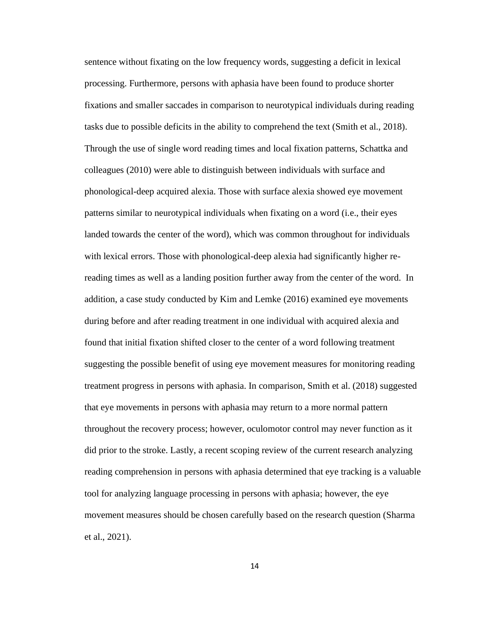sentence without fixating on the low frequency words, suggesting a deficit in lexical processing. Furthermore, persons with aphasia have been found to produce shorter fixations and smaller saccades in comparison to neurotypical individuals during reading tasks due to possible deficits in the ability to comprehend the text (Smith et al., 2018). Through the use of single word reading times and local fixation patterns, Schattka and colleagues (2010) were able to distinguish between individuals with surface and phonological-deep acquired alexia. Those with surface alexia showed eye movement patterns similar to neurotypical individuals when fixating on a word (i.e., their eyes landed towards the center of the word), which was common throughout for individuals with lexical errors. Those with phonological-deep alexia had significantly higher rereading times as well as a landing position further away from the center of the word. In addition, a case study conducted by Kim and Lemke (2016) examined eye movements during before and after reading treatment in one individual with acquired alexia and found that initial fixation shifted closer to the center of a word following treatment suggesting the possible benefit of using eye movement measures for monitoring reading treatment progress in persons with aphasia. In comparison, Smith et al. (2018) suggested that eye movements in persons with aphasia may return to a more normal pattern throughout the recovery process; however, oculomotor control may never function as it did prior to the stroke. Lastly, a recent scoping review of the current research analyzing reading comprehension in persons with aphasia determined that eye tracking is a valuable tool for analyzing language processing in persons with aphasia; however, the eye movement measures should be chosen carefully based on the research question (Sharma et al., 2021).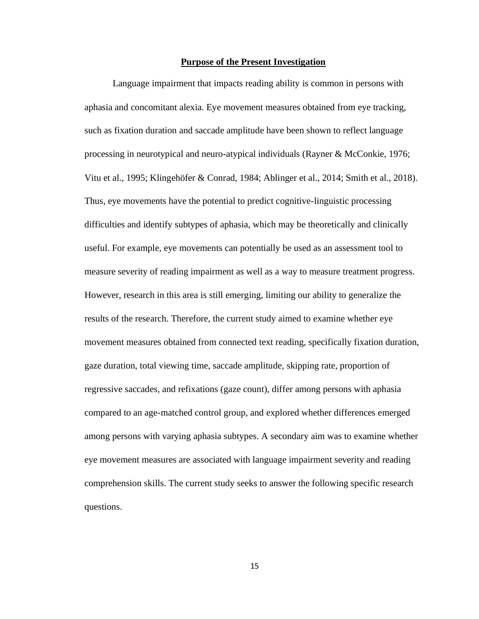### **Purpose of the Present Investigation**

Language impairment that impacts reading ability is common in persons with aphasia and concomitant alexia. Eye movement measures obtained from eye tracking, such as fixation duration and saccade amplitude have been shown to reflect language processing in neurotypical and neuro-atypical individuals (Rayner & McConkie, 1976; Vitu et al., 1995; Klingehöfer & Conrad, 1984; Ablinger et al., 2014; Smith et al., 2018). Thus, eye movements have the potential to predict cognitive-linguistic processing difficulties and identify subtypes of aphasia, which may be theoretically and clinically useful. For example, eye movements can potentially be used as an assessment tool to measure severity of reading impairment as well as a way to measure treatment progress. However, research in this area is still emerging, limiting our ability to generalize the results of the research. Therefore, the current study aimed to examine whether eye movement measures obtained from connected text reading, specifically fixation duration, gaze duration, total viewing time, saccade amplitude, skipping rate, proportion of regressive saccades, and refixations (gaze count), differ among persons with aphasia compared to an age-matched control group, and explored whether differences emerged among persons with varying aphasia subtypes. A secondary aim was to examine whether eye movement measures are associated with language impairment severity and reading comprehension skills. The current study seeks to answer the following specific research questions.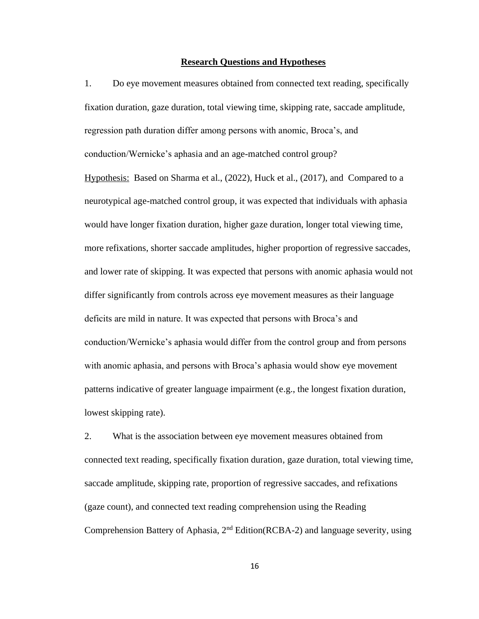#### **Research Questions and Hypotheses**

1. Do eye movement measures obtained from connected text reading, specifically fixation duration, gaze duration, total viewing time, skipping rate, saccade amplitude, regression path duration differ among persons with anomic, Broca's, and conduction/Wernicke's aphasia and an age-matched control group?

Hypothesis: Based on Sharma et al., (2022), Huck et al., (2017), and Compared to a neurotypical age-matched control group, it was expected that individuals with aphasia would have longer fixation duration, higher gaze duration, longer total viewing time, more refixations, shorter saccade amplitudes, higher proportion of regressive saccades, and lower rate of skipping. It was expected that persons with anomic aphasia would not differ significantly from controls across eye movement measures as their language deficits are mild in nature. It was expected that persons with Broca's and conduction/Wernicke's aphasia would differ from the control group and from persons with anomic aphasia, and persons with Broca's aphasia would show eye movement patterns indicative of greater language impairment (e.g., the longest fixation duration, lowest skipping rate).

2. What is the association between eye movement measures obtained from connected text reading, specifically fixation duration, gaze duration, total viewing time, saccade amplitude, skipping rate, proportion of regressive saccades, and refixations (gaze count), and connected text reading comprehension using the Reading Comprehension Battery of Aphasia, 2nd Edition(RCBA-2) and language severity, using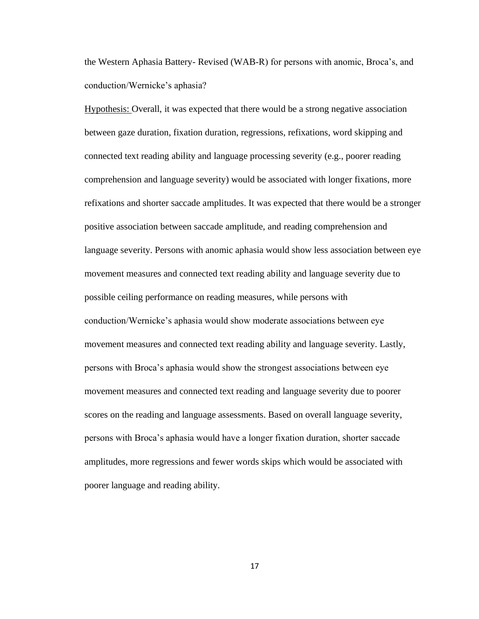the Western Aphasia Battery- Revised (WAB-R) for persons with anomic, Broca's, and conduction/Wernicke's aphasia?

Hypothesis: Overall, it was expected that there would be a strong negative association between gaze duration, fixation duration, regressions, refixations, word skipping and connected text reading ability and language processing severity (e.g., poorer reading comprehension and language severity) would be associated with longer fixations, more refixations and shorter saccade amplitudes. It was expected that there would be a stronger positive association between saccade amplitude, and reading comprehension and language severity. Persons with anomic aphasia would show less association between eye movement measures and connected text reading ability and language severity due to possible ceiling performance on reading measures, while persons with conduction/Wernicke's aphasia would show moderate associations between eye movement measures and connected text reading ability and language severity. Lastly, persons with Broca's aphasia would show the strongest associations between eye movement measures and connected text reading and language severity due to poorer scores on the reading and language assessments. Based on overall language severity, persons with Broca's aphasia would have a longer fixation duration, shorter saccade amplitudes, more regressions and fewer words skips which would be associated with poorer language and reading ability.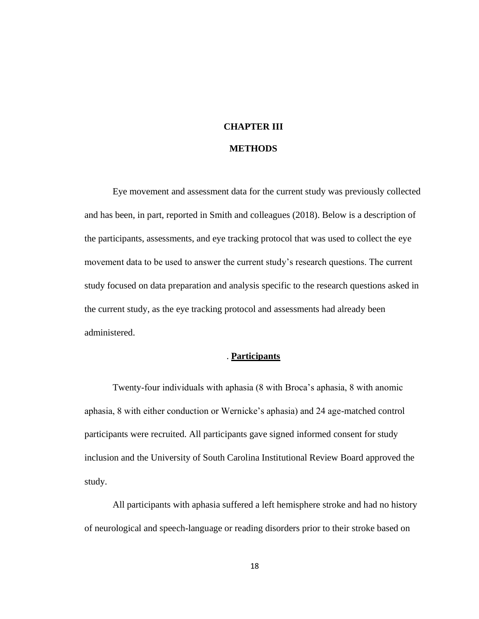## **CHAPTER III**

### **METHODS**

Eye movement and assessment data for the current study was previously collected and has been, in part, reported in Smith and colleagues (2018). Below is a description of the participants, assessments, and eye tracking protocol that was used to collect the eye movement data to be used to answer the current study's research questions. The current study focused on data preparation and analysis specific to the research questions asked in the current study, as the eye tracking protocol and assessments had already been administered.

### . **Participants**

Twenty-four individuals with aphasia (8 with Broca's aphasia, 8 with anomic aphasia, 8 with either conduction or Wernicke's aphasia) and 24 age-matched control participants were recruited. All participants gave signed informed consent for study inclusion and the University of South Carolina Institutional Review Board approved the study.

 All participants with aphasia suffered a left hemisphere stroke and had no history of neurological and speech-language or reading disorders prior to their stroke based on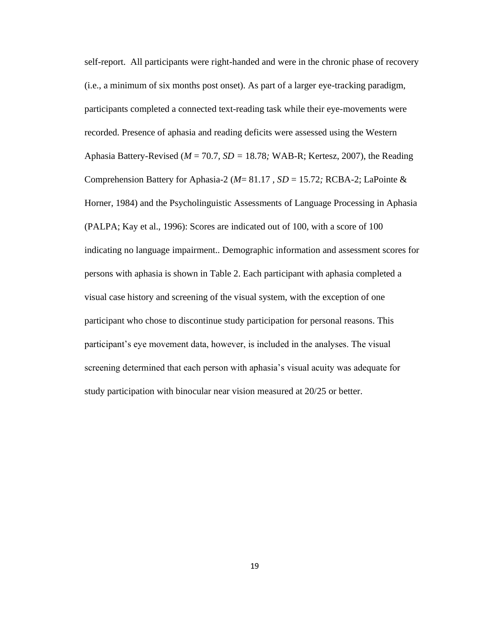self-report. All participants were right-handed and were in the chronic phase of recovery (i.e., a minimum of six months post onset). As part of a larger eye-tracking paradigm, participants completed a connected text-reading task while their eye-movements were recorded. Presence of aphasia and reading deficits were assessed using the Western Aphasia Battery-Revised (*M* = 70.7*, SD =* 18.78*;* WAB-R; Kertesz, 2007), the Reading Comprehension Battery for Aphasia-2 (*M*= 81.17 *, SD* = 15.72*;* RCBA-2; LaPointe & Horner, 1984) and the Psycholinguistic Assessments of Language Processing in Aphasia (PALPA; Kay et al., 1996): Scores are indicated out of 100, with a score of 100 indicating no language impairment.. Demographic information and assessment scores for persons with aphasia is shown in Table 2. Each participant with aphasia completed a visual case history and screening of the visual system, with the exception of one participant who chose to discontinue study participation for personal reasons. This participant's eye movement data, however, is included in the analyses. The visual screening determined that each person with aphasia's visual acuity was adequate for study participation with binocular near vision measured at 20/25 or better.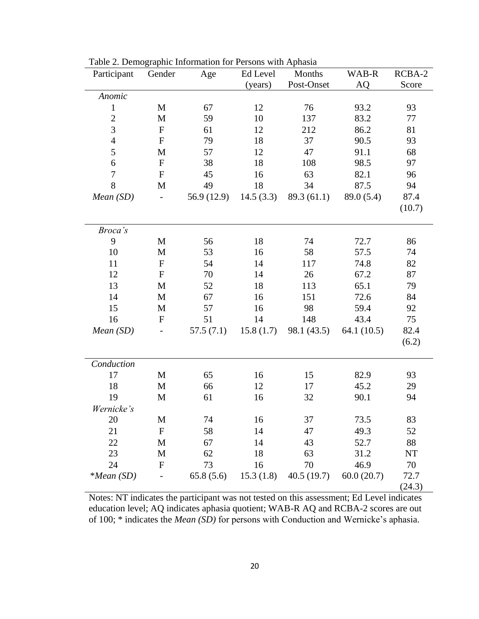| Participant    | Gender                   | Age         | Ed Level  | Months      | WAB-R         | RCBA-2 |
|----------------|--------------------------|-------------|-----------|-------------|---------------|--------|
|                |                          |             | (years)   | Post-Onset  | AQ            | Score  |
| Anomic         |                          |             |           |             |               |        |
| $\mathbf{1}$   | $\mathbf M$              | 67          | 12        | 76          | 93.2          | 93     |
| $\overline{2}$ | M                        | 59          | 10        | 137         | 83.2          | 77     |
| 3              | ${\bf F}$                | 61          | 12        | 212         | 86.2          | 81     |
| $\overline{4}$ | ${\bf F}$                | 79          | 18        | 37          | 90.5          | 93     |
| 5              | M                        | 57          | 12        | 47          | 91.1          | 68     |
| 6              | ${\bf F}$                | 38          | 18        | 108         | 98.5          | 97     |
| $\overline{7}$ | $\mathbf{F}$             | 45          | 16        | 63          | 82.1          | 96     |
| 8              | M                        | 49          | 18        | 34          | 87.5          | 94     |
| Mean(SD)       | $\overline{\phantom{0}}$ | 56.9 (12.9) | 14.5(3.3) | 89.3(61.1)  | 89.0 (5.4)    | 87.4   |
|                |                          |             |           |             |               | (10.7) |
|                |                          |             |           |             |               |        |
| Broca's        |                          |             |           |             |               |        |
| 9              | M                        | 56          | 18        | 74          | 72.7          | 86     |
| 10             | $\mathbf{M}$             | 53          | 16        | 58          | 57.5          | 74     |
| 11             | ${\bf F}$                | 54          | 14        | 117         | 74.8          | 82     |
| 12             | $\mathbf{F}$             | 70          | 14        | 26          | 67.2          | 87     |
| 13             | $\mathbf{M}$             | 52          | 18        | 113         | 65.1          | 79     |
| 14             | M                        | 67          | 16        | 151         | 72.6          | 84     |
| 15             | $\mathbf{M}$             | 57          | 16        | 98          | 59.4          | 92     |
| 16             | ${\bf F}$                | 51          | 14        | 148         | 43.4          | 75     |
| Mean(SD)       |                          | 57.5(7.1)   | 15.8(1.7) | 98.1 (43.5) | 64.1 $(10.5)$ | 82.4   |
|                |                          |             |           |             |               | (6.2)  |
|                |                          |             |           |             |               |        |
| Conduction     |                          |             |           |             |               |        |
| 17             | $\mathbf M$              | 65          | 16        | 15          | 82.9          | 93     |
| 18             | M                        | 66          | 12        | 17          | 45.2          | 29     |
| 19             | $\mathbf{M}$             | 61          | 16        | 32          | 90.1          | 94     |
| Wernicke's     |                          |             |           |             |               |        |
| 20             | M                        | 74          | 16        | 37          | 73.5          | 83     |
| 21             | ${\bf F}$                | 58          | 14        | 47          | 49.3          | 52     |
| 22             | M                        | 67          | 14        | 43          | 52.7          | 88     |
| 23             | M                        | 62          | 18        | 63          | 31.2          | NT     |
| 24             | $\mathbf{F}$             | 73          | 16        | 70          | 46.9          | 70     |
| $*Mean(SD)$    |                          | 65.8(5.6)   | 15.3(1.8) | 40.5(19.7)  | 60.0(20.7)    | 72.7   |
|                |                          |             |           |             |               | (24.3) |

Table 2. Demographic Information for Persons with Aphasia

Notes: NT indicates the participant was not tested on this assessment; Ed Level indicates education level; AQ indicates aphasia quotient; WAB-R AQ and RCBA-2 scores are out of 100; \* indicates the *Mean (SD)* for persons with Conduction and Wernicke's aphasia.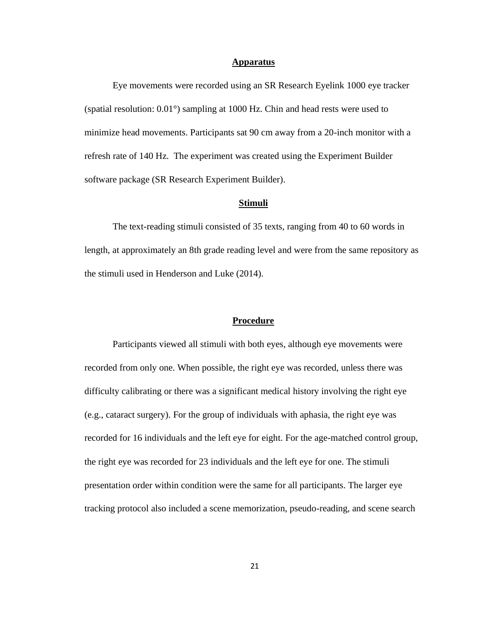#### **Apparatus**

 Eye movements were recorded using an SR Research Eyelink 1000 eye tracker (spatial resolution: 0.01°) sampling at 1000 Hz. Chin and head rests were used to minimize head movements. Participants sat 90 cm away from a 20-inch monitor with a refresh rate of 140 Hz. The experiment was created using the Experiment Builder software package (SR Research Experiment Builder).

### **Stimuli**

The text-reading stimuli consisted of 35 texts, ranging from 40 to 60 words in length, at approximately an 8th grade reading level and were from the same repository as the stimuli used in Henderson and Luke (2014).

#### **Procedure**

Participants viewed all stimuli with both eyes, although eye movements were recorded from only one. When possible, the right eye was recorded, unless there was difficulty calibrating or there was a significant medical history involving the right eye (e.g., cataract surgery). For the group of individuals with aphasia, the right eye was recorded for 16 individuals and the left eye for eight. For the age-matched control group, the right eye was recorded for 23 individuals and the left eye for one. The stimuli presentation order within condition were the same for all participants. The larger eye tracking protocol also included a scene memorization, pseudo-reading, and scene search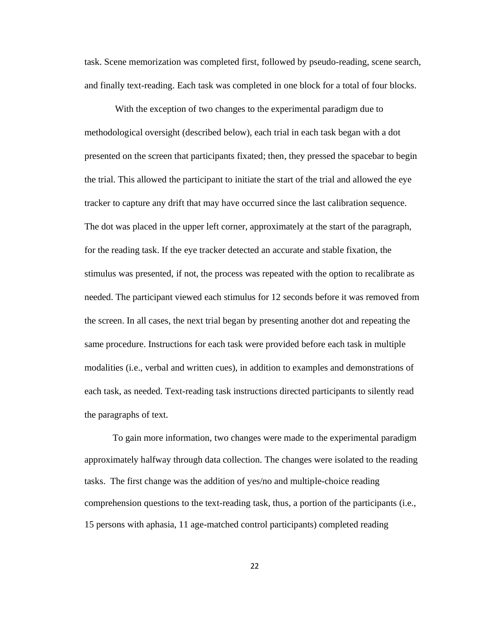task. Scene memorization was completed first, followed by pseudo-reading, scene search, and finally text-reading. Each task was completed in one block for a total of four blocks.

With the exception of two changes to the experimental paradigm due to methodological oversight (described below), each trial in each task began with a dot presented on the screen that participants fixated; then, they pressed the spacebar to begin the trial. This allowed the participant to initiate the start of the trial and allowed the eye tracker to capture any drift that may have occurred since the last calibration sequence. The dot was placed in the upper left corner, approximately at the start of the paragraph, for the reading task. If the eye tracker detected an accurate and stable fixation, the stimulus was presented, if not, the process was repeated with the option to recalibrate as needed. The participant viewed each stimulus for 12 seconds before it was removed from the screen. In all cases, the next trial began by presenting another dot and repeating the same procedure. Instructions for each task were provided before each task in multiple modalities (i.e., verbal and written cues), in addition to examples and demonstrations of each task, as needed. Text-reading task instructions directed participants to silently read the paragraphs of text.

To gain more information, two changes were made to the experimental paradigm approximately halfway through data collection. The changes were isolated to the reading tasks. The first change was the addition of yes/no and multiple-choice reading comprehension questions to the text-reading task, thus, a portion of the participants (i.e., 15 persons with aphasia, 11 age-matched control participants) completed reading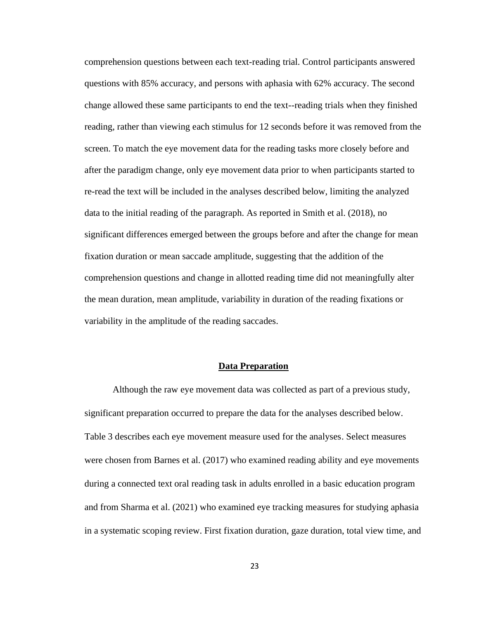comprehension questions between each text-reading trial. Control participants answered questions with 85% accuracy, and persons with aphasia with 62% accuracy. The second change allowed these same participants to end the text--reading trials when they finished reading, rather than viewing each stimulus for 12 seconds before it was removed from the screen. To match the eye movement data for the reading tasks more closely before and after the paradigm change, only eye movement data prior to when participants started to re-read the text will be included in the analyses described below, limiting the analyzed data to the initial reading of the paragraph. As reported in Smith et al. (2018), no significant differences emerged between the groups before and after the change for mean fixation duration or mean saccade amplitude, suggesting that the addition of the comprehension questions and change in allotted reading time did not meaningfully alter the mean duration, mean amplitude, variability in duration of the reading fixations or variability in the amplitude of the reading saccades.

### **Data Preparation**

Although the raw eye movement data was collected as part of a previous study, significant preparation occurred to prepare the data for the analyses described below. Table 3 describes each eye movement measure used for the analyses. Select measures were chosen from Barnes et al. (2017) who examined reading ability and eye movements during a connected text oral reading task in adults enrolled in a basic education program and from Sharma et al. (2021) who examined eye tracking measures for studying aphasia in a systematic scoping review. First fixation duration, gaze duration, total view time, and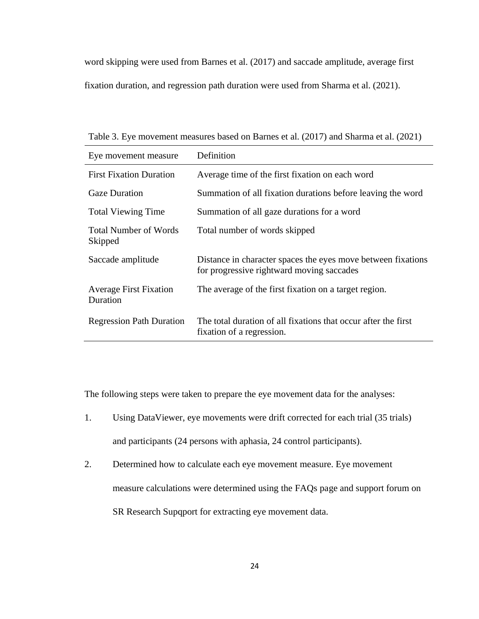word skipping were used from Barnes et al. (2017) and saccade amplitude, average first fixation duration, and regression path duration were used from Sharma et al. (2021).

Table 3. Eye movement measures based on Barnes et al. (2017) and Sharma et al. (2021)

| Eye movement measure                      | Definition                                                                                                |
|-------------------------------------------|-----------------------------------------------------------------------------------------------------------|
| <b>First Fixation Duration</b>            | Average time of the first fixation on each word                                                           |
| <b>Gaze Duration</b>                      | Summation of all fixation durations before leaving the word                                               |
| <b>Total Viewing Time</b>                 | Summation of all gaze durations for a word                                                                |
| <b>Total Number of Words</b><br>Skipped   | Total number of words skipped                                                                             |
| Saccade amplitude                         | Distance in character spaces the eyes move between fixations<br>for progressive rightward moving saccades |
| <b>Average First Fixation</b><br>Duration | The average of the first fixation on a target region.                                                     |
| <b>Regression Path Duration</b>           | The total duration of all fixations that occur after the first<br>fixation of a regression.               |

The following steps were taken to prepare the eye movement data for the analyses:

- 1. Using DataViewer, eye movements were drift corrected for each trial (35 trials) and participants (24 persons with aphasia, 24 control participants).
- 2. Determined how to calculate each eye movement measure. Eye movement measure calculations were determined using the FAQs page and support forum on

SR Research Supqport for extracting eye movement data.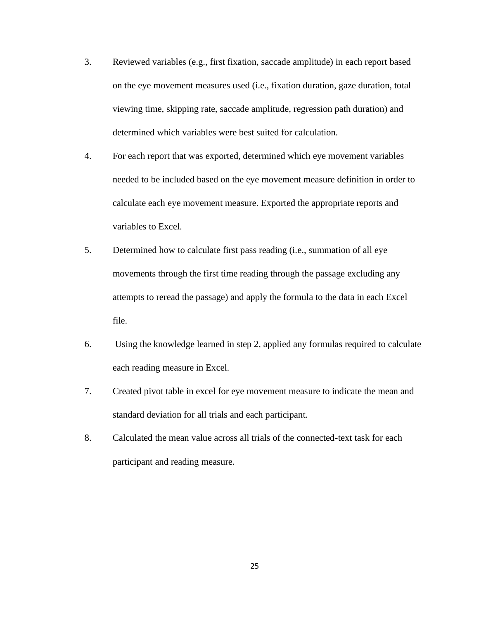- 3. Reviewed variables (e.g., first fixation, saccade amplitude) in each report based on the eye movement measures used (i.e., fixation duration, gaze duration, total viewing time, skipping rate, saccade amplitude, regression path duration) and determined which variables were best suited for calculation.
- 4. For each report that was exported, determined which eye movement variables needed to be included based on the eye movement measure definition in order to calculate each eye movement measure. Exported the appropriate reports and variables to Excel.
- 5. Determined how to calculate first pass reading (i.e., summation of all eye movements through the first time reading through the passage excluding any attempts to reread the passage) and apply the formula to the data in each Excel file.
- 6. Using the knowledge learned in step 2, applied any formulas required to calculate each reading measure in Excel.
- 7. Created pivot table in excel for eye movement measure to indicate the mean and standard deviation for all trials and each participant.
- 8. Calculated the mean value across all trials of the connected-text task for each participant and reading measure.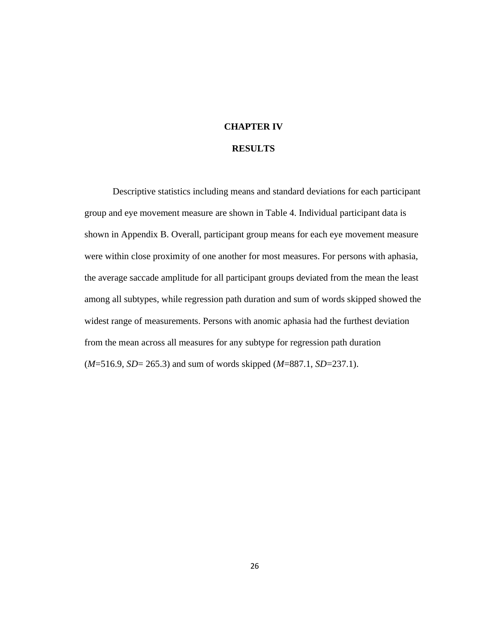### **CHAPTER IV**

### **RESULTS**

Descriptive statistics including means and standard deviations for each participant group and eye movement measure are shown in Table 4. Individual participant data is shown in Appendix B. Overall, participant group means for each eye movement measure were within close proximity of one another for most measures. For persons with aphasia, the average saccade amplitude for all participant groups deviated from the mean the least among all subtypes, while regression path duration and sum of words skipped showed the widest range of measurements. Persons with anomic aphasia had the furthest deviation from the mean across all measures for any subtype for regression path duration (*M*=516.9, *SD*= 265.3) and sum of words skipped (*M*=887.1, *SD*=237.1).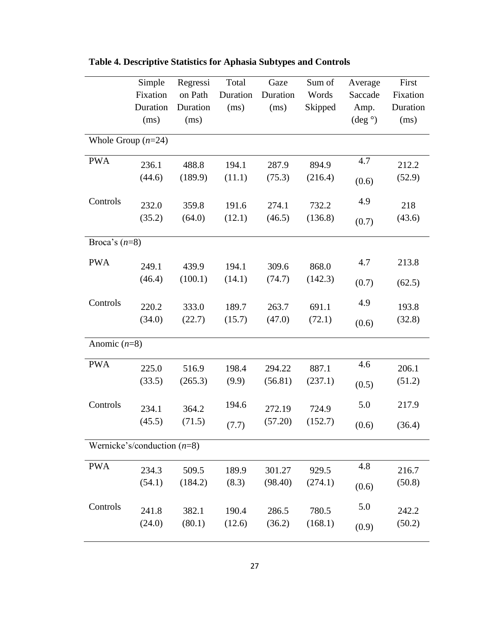|                               | Simple   | Regressi | Total    | Gaze     | Sum of  | Average              | First    |
|-------------------------------|----------|----------|----------|----------|---------|----------------------|----------|
|                               | Fixation | on Path  | Duration | Duration | Words   | Saccade              | Fixation |
|                               | Duration | Duration | (ms)     | (ms)     | Skipped | Amp.                 | Duration |
|                               | (ms)     | (ms)     |          |          |         | $(\text{deg} \circ)$ | (ms)     |
| Whole Group $(n=24)$          |          |          |          |          |         |                      |          |
| <b>PWA</b>                    | 236.1    | 488.8    | 194.1    | 287.9    | 894.9   | 4.7                  | 212.2    |
|                               | (44.6)   | (189.9)  | (11.1)   | (75.3)   | (216.4) | (0.6)                | (52.9)   |
| Controls                      | 232.0    | 359.8    | 191.6    | 274.1    | 732.2   | 4.9                  | 218      |
|                               | (35.2)   | (64.0)   | (12.1)   | (46.5)   | (136.8) | (0.7)                | (43.6)   |
| Broca's $(n=8)$               |          |          |          |          |         |                      |          |
| <b>PWA</b>                    | 249.1    | 439.9    | 194.1    | 309.6    | 868.0   | 4.7                  | 213.8    |
|                               | (46.4)   | (100.1)  | (14.1)   | (74.7)   | (142.3) | (0.7)                | (62.5)   |
| Controls                      | 220.2    | 333.0    | 189.7    | 263.7    | 691.1   | 4.9                  | 193.8    |
|                               | (34.0)   | (22.7)   | (15.7)   | (47.0)   | (72.1)  | (0.6)                | (32.8)   |
| Anomic $(n=8)$                |          |          |          |          |         |                      |          |
| <b>PWA</b>                    | 225.0    | 516.9    | 198.4    | 294.22   | 887.1   | 4.6                  | 206.1    |
|                               | (33.5)   | (265.3)  | (9.9)    | (56.81)  | (237.1) | (0.5)                | (51.2)   |
| Controls                      | 234.1    | 364.2    | 194.6    | 272.19   | 724.9   | 5.0                  | 217.9    |
|                               | (45.5)   | (71.5)   | (7.7)    | (57.20)  | (152.7) | (0.6)                | (36.4)   |
| Wernicke's/conduction $(n=8)$ |          |          |          |          |         |                      |          |
| <b>PWA</b>                    | 234.3    | 509.5    | 189.9    | 301.27   | 929.5   | 4.8                  | 216.7    |
|                               | (54.1)   | (184.2)  | (8.3)    | (98.40)  | (274.1) | (0.6)                | (50.8)   |
| Controls                      | 241.8    | 382.1    | 190.4    | 286.5    | 780.5   | 5.0                  | 242.2    |
|                               | (24.0)   | (80.1)   | (12.6)   | (36.2)   | (168.1) | (0.9)                | (50.2)   |

**Table 4. Descriptive Statistics for Aphasia Subtypes and Controls**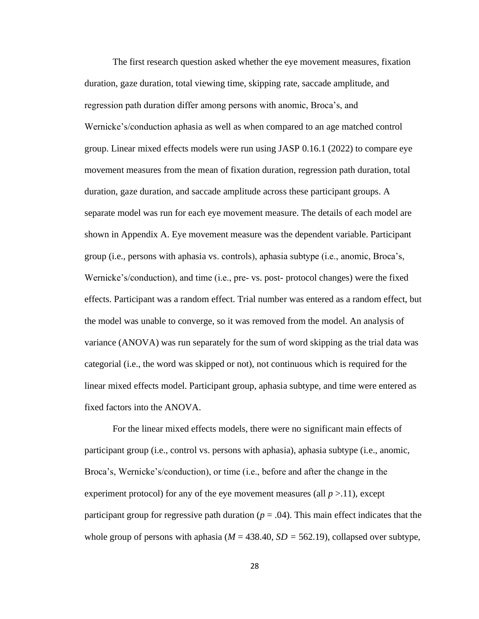The first research question asked whether the eye movement measures, fixation duration, gaze duration, total viewing time, skipping rate, saccade amplitude, and regression path duration differ among persons with anomic, Broca's, and Wernicke's/conduction aphasia as well as when compared to an age matched control group. Linear mixed effects models were run using JASP 0.16.1 (2022) to compare eye movement measures from the mean of fixation duration, regression path duration, total duration, gaze duration, and saccade amplitude across these participant groups. A separate model was run for each eye movement measure. The details of each model are shown in Appendix A. Eye movement measure was the dependent variable. Participant group (i.e., persons with aphasia vs. controls), aphasia subtype (i.e., anomic, Broca's, Wernicke's/conduction), and time (i.e., pre- vs. post- protocol changes) were the fixed effects. Participant was a random effect. Trial number was entered as a random effect, but the model was unable to converge, so it was removed from the model. An analysis of variance (ANOVA) was run separately for the sum of word skipping as the trial data was categorial (i.e., the word was skipped or not), not continuous which is required for the linear mixed effects model. Participant group, aphasia subtype, and time were entered as fixed factors into the ANOVA.

For the linear mixed effects models, there were no significant main effects of participant group (i.e., control vs. persons with aphasia), aphasia subtype (i.e., anomic, Broca's, Wernicke's/conduction), or time (i.e., before and after the change in the experiment protocol) for any of the eye movement measures (all  $p > 11$ ), except participant group for regressive path duration ( $p = .04$ ). This main effect indicates that the whole group of persons with aphasia ( $M = 438.40$ ,  $SD = 562.19$ ), collapsed over subtype,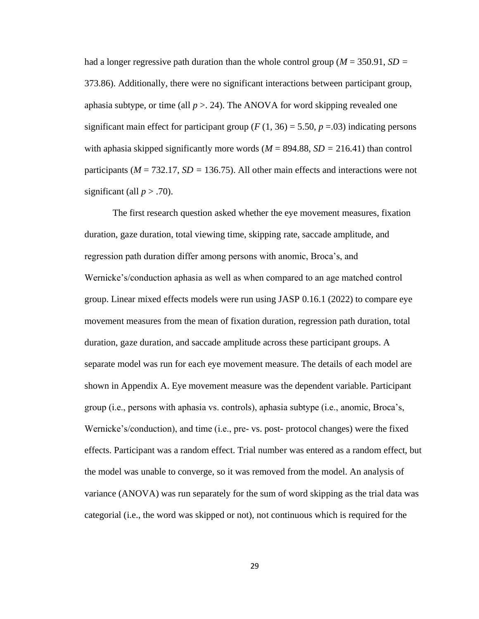had a longer regressive path duration than the whole control group (*M* = 350.91, *SD =*  373.86). Additionally, there were no significant interactions between participant group, aphasia subtype, or time (all  $p > 24$ ). The ANOVA for word skipping revealed one significant main effect for participant group ( $F(1, 36) = 5.50$ ,  $p = .03$ ) indicating persons with aphasia skipped significantly more words  $(M = 894.88, SD = 216.41)$  than control participants (*M* = 732.17, *SD =* 136.75). All other main effects and interactions were not significant (all  $p > .70$ ).

The first research question asked whether the eye movement measures, fixation duration, gaze duration, total viewing time, skipping rate, saccade amplitude, and regression path duration differ among persons with anomic, Broca's, and Wernicke's/conduction aphasia as well as when compared to an age matched control group. Linear mixed effects models were run using JASP 0.16.1 (2022) to compare eye movement measures from the mean of fixation duration, regression path duration, total duration, gaze duration, and saccade amplitude across these participant groups. A separate model was run for each eye movement measure. The details of each model are shown in Appendix A. Eye movement measure was the dependent variable. Participant group (i.e., persons with aphasia vs. controls), aphasia subtype (i.e., anomic, Broca's, Wernicke's/conduction), and time (i.e., pre- vs. post- protocol changes) were the fixed effects. Participant was a random effect. Trial number was entered as a random effect, but the model was unable to converge, so it was removed from the model. An analysis of variance (ANOVA) was run separately for the sum of word skipping as the trial data was categorial (i.e., the word was skipped or not), not continuous which is required for the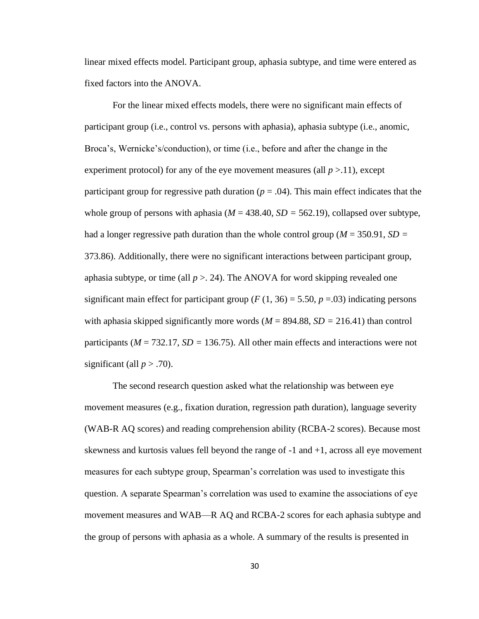linear mixed effects model. Participant group, aphasia subtype, and time were entered as fixed factors into the ANOVA.

For the linear mixed effects models, there were no significant main effects of participant group (i.e., control vs. persons with aphasia), aphasia subtype (i.e., anomic, Broca's, Wernicke's/conduction), or time (i.e., before and after the change in the experiment protocol) for any of the eye movement measures (all  $p > 11$ ), except participant group for regressive path duration  $(p = .04)$ . This main effect indicates that the whole group of persons with aphasia ( $M = 438.40$ ,  $SD = 562.19$ ), collapsed over subtype, had a longer regressive path duration than the whole control group (*M* = 350.91, *SD =*  373.86). Additionally, there were no significant interactions between participant group, aphasia subtype, or time (all  $p > 24$ ). The ANOVA for word skipping revealed one significant main effect for participant group ( $F(1, 36) = 5.50$ ,  $p = .03$ ) indicating persons with aphasia skipped significantly more words  $(M = 894.88, SD = 216.41)$  than control participants (*M* = 732.17, *SD =* 136.75). All other main effects and interactions were not significant (all  $p > .70$ ).

The second research question asked what the relationship was between eye movement measures (e.g., fixation duration, regression path duration), language severity (WAB-R AQ scores) and reading comprehension ability (RCBA-2 scores). Because most skewness and kurtosis values fell beyond the range of -1 and +1, across all eye movement measures for each subtype group, Spearman's correlation was used to investigate this question. A separate Spearman's correlation was used to examine the associations of eye movement measures and WAB—R AQ and RCBA-2 scores for each aphasia subtype and the group of persons with aphasia as a whole. A summary of the results is presented in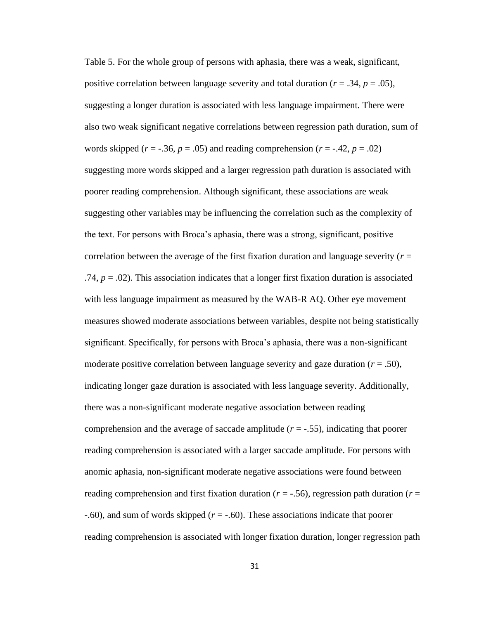Table 5. For the whole group of persons with aphasia, there was a weak, significant, positive correlation between language severity and total duration ( $r = .34$ ,  $p = .05$ ), suggesting a longer duration is associated with less language impairment. There were also two weak significant negative correlations between regression path duration, sum of words skipped ( $r = -.36$ ,  $p = .05$ ) and reading comprehension ( $r = -.42$ ,  $p = .02$ ) suggesting more words skipped and a larger regression path duration is associated with poorer reading comprehension. Although significant, these associations are weak suggesting other variables may be influencing the correlation such as the complexity of the text. For persons with Broca's aphasia, there was a strong, significant, positive correlation between the average of the first fixation duration and language severity (*r* = .74,  $p = .02$ ). This association indicates that a longer first fixation duration is associated with less language impairment as measured by the WAB-R AQ. Other eye movement measures showed moderate associations between variables, despite not being statistically significant. Specifically, for persons with Broca's aphasia, there was a non-significant moderate positive correlation between language severity and gaze duration (*r* = .50), indicating longer gaze duration is associated with less language severity. Additionally, there was a non-significant moderate negative association between reading comprehension and the average of saccade amplitude  $(r = -0.55)$ , indicating that poorer reading comprehension is associated with a larger saccade amplitude. For persons with anomic aphasia, non-significant moderate negative associations were found between reading comprehension and first fixation duration (*r* = -.56), regression path duration (*r* = -.60), and sum of words skipped (*r* = -.60). These associations indicate that poorer reading comprehension is associated with longer fixation duration, longer regression path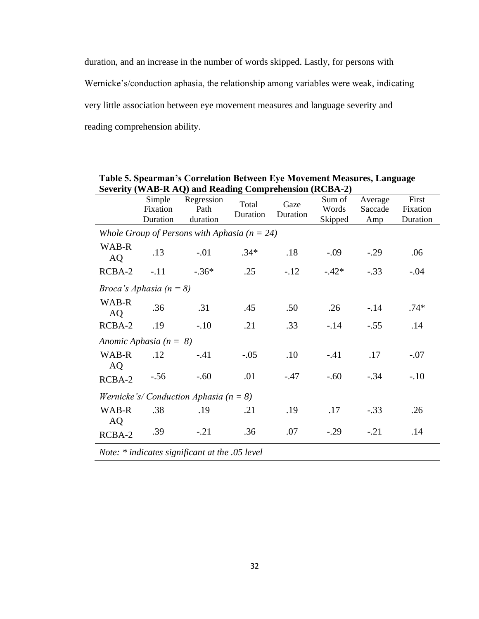duration, and an increase in the number of words skipped. Lastly, for persons with Wernicke's/conduction aphasia, the relationship among variables were weak, indicating very little association between eye movement measures and language severity and reading comprehension ability.

Simple Fixation Duration Regression Path duration Total Duration Gaze Duration Sum of Words Skipped Average Saccade Amp First Fixation Duration *Whole Group of Persons with Aphasia (n = 24)* WAB-R AD-R .13 -.01 .34\* .18 -.09 -.29 .06 RCBA-2 -.11 -.36\* .25 -.12 -.42\* -.33 -.04 *Broca's Aphasia (n = 8)* WAB-R AD-R .36 .31 .45 .50 .26 -.14 .74\* RCBA-2 .19 -.10 .21 .33 -.14 -.55 .14 *Anomic Aphasia (n = 8)* WAB-R AQ .12 -.41 -.05 .10 -.41 .17 -.07 RCBA-2 -.56 -.60 .01 -.47 -.60 -.34 -.10 *Wernicke's/ Conduction Aphasia (n = 8)* WAB-R AQ .38 .19 .21 .19 .17 -.33 .26 RCBA-2 .39 -.21 .36 .07 -.29 -.21 .14 *Note: \* indicates significant at the .05 level* 

**Table 5. Spearman's Correlation Between Eye Movement Measures, Language Severity (WAB-R AQ) and Reading Comprehension (RCBA-2)**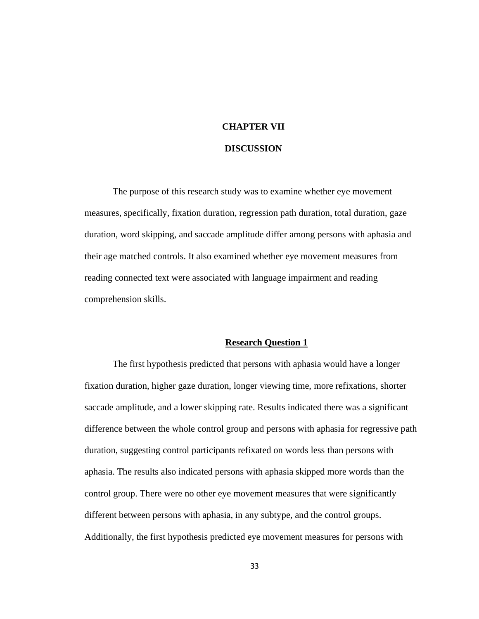## **CHAPTER VII**

### **DISCUSSION**

The purpose of this research study was to examine whether eye movement measures, specifically, fixation duration, regression path duration, total duration, gaze duration, word skipping, and saccade amplitude differ among persons with aphasia and their age matched controls. It also examined whether eye movement measures from reading connected text were associated with language impairment and reading comprehension skills.

#### **Research Question 1**

The first hypothesis predicted that persons with aphasia would have a longer fixation duration, higher gaze duration, longer viewing time, more refixations, shorter saccade amplitude, and a lower skipping rate. Results indicated there was a significant difference between the whole control group and persons with aphasia for regressive path duration, suggesting control participants refixated on words less than persons with aphasia. The results also indicated persons with aphasia skipped more words than the control group. There were no other eye movement measures that were significantly different between persons with aphasia, in any subtype, and the control groups. Additionally, the first hypothesis predicted eye movement measures for persons with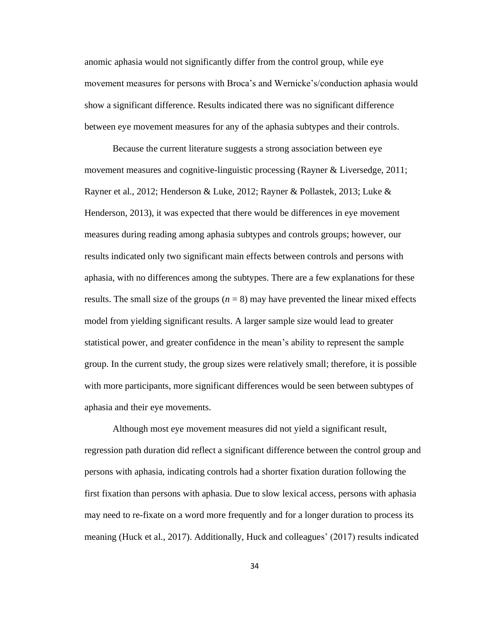anomic aphasia would not significantly differ from the control group, while eye movement measures for persons with Broca's and Wernicke's/conduction aphasia would show a significant difference. Results indicated there was no significant difference between eye movement measures for any of the aphasia subtypes and their controls.

Because the current literature suggests a strong association between eye movement measures and cognitive-linguistic processing (Rayner & Liversedge, 2011; Rayner et al., 2012; Henderson & Luke, 2012; Rayner & Pollastek, 2013; Luke & Henderson, 2013), it was expected that there would be differences in eye movement measures during reading among aphasia subtypes and controls groups; however, our results indicated only two significant main effects between controls and persons with aphasia, with no differences among the subtypes. There are a few explanations for these results. The small size of the groups  $(n = 8)$  may have prevented the linear mixed effects model from yielding significant results. A larger sample size would lead to greater statistical power, and greater confidence in the mean's ability to represent the sample group. In the current study, the group sizes were relatively small; therefore, it is possible with more participants, more significant differences would be seen between subtypes of aphasia and their eye movements.

Although most eye movement measures did not yield a significant result, regression path duration did reflect a significant difference between the control group and persons with aphasia, indicating controls had a shorter fixation duration following the first fixation than persons with aphasia. Due to slow lexical access, persons with aphasia may need to re-fixate on a word more frequently and for a longer duration to process its meaning (Huck et al., 2017). Additionally, Huck and colleagues' (2017) results indicated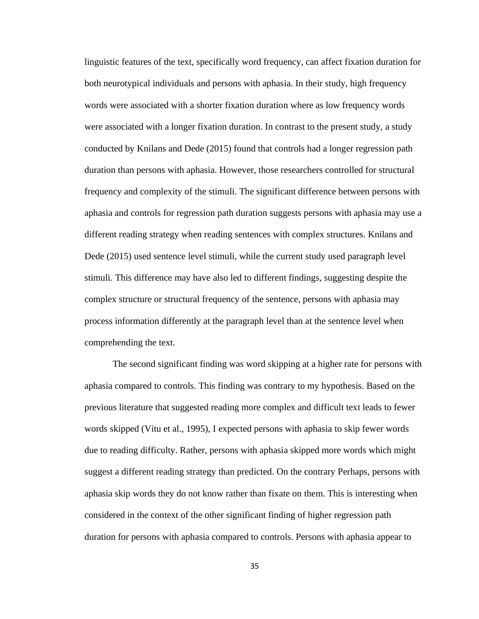linguistic features of the text, specifically word frequency, can affect fixation duration for both neurotypical individuals and persons with aphasia. In their study, high frequency words were associated with a shorter fixation duration where as low frequency words were associated with a longer fixation duration. In contrast to the present study, a study conducted by Knilans and Dede (2015) found that controls had a longer regression path duration than persons with aphasia. However, those researchers controlled for structural frequency and complexity of the stimuli. The significant difference between persons with aphasia and controls for regression path duration suggests persons with aphasia may use a different reading strategy when reading sentences with complex structures. Knilans and Dede (2015) used sentence level stimuli, while the current study used paragraph level stimuli. This difference may have also led to different findings, suggesting despite the complex structure or structural frequency of the sentence, persons with aphasia may process information differently at the paragraph level than at the sentence level when comprehending the text.

The second significant finding was word skipping at a higher rate for persons with aphasia compared to controls. This finding was contrary to my hypothesis. Based on the previous literature that suggested reading more complex and difficult text leads to fewer words skipped (Vitu et al., 1995), I expected persons with aphasia to skip fewer words due to reading difficulty. Rather, persons with aphasia skipped more words which might suggest a different reading strategy than predicted. On the contrary Perhaps, persons with aphasia skip words they do not know rather than fixate on them. This is interesting when considered in the context of the other significant finding of higher regression path duration for persons with aphasia compared to controls. Persons with aphasia appear to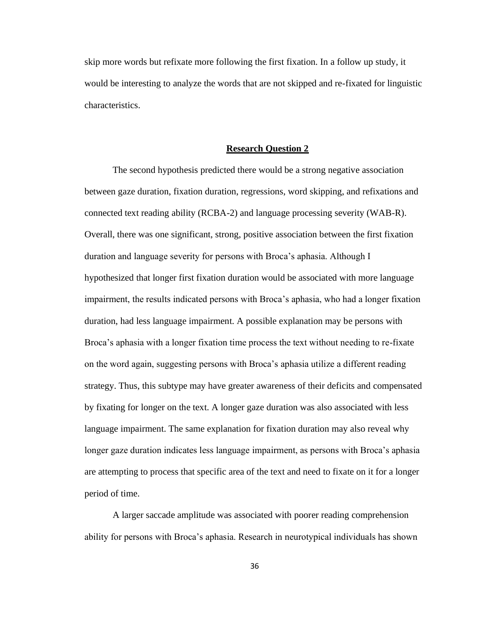skip more words but refixate more following the first fixation. In a follow up study, it would be interesting to analyze the words that are not skipped and re-fixated for linguistic characteristics.

#### **Research Question 2**

The second hypothesis predicted there would be a strong negative association between gaze duration, fixation duration, regressions, word skipping, and refixations and connected text reading ability (RCBA-2) and language processing severity (WAB-R). Overall, there was one significant, strong, positive association between the first fixation duration and language severity for persons with Broca's aphasia. Although I hypothesized that longer first fixation duration would be associated with more language impairment, the results indicated persons with Broca's aphasia, who had a longer fixation duration, had less language impairment. A possible explanation may be persons with Broca's aphasia with a longer fixation time process the text without needing to re-fixate on the word again, suggesting persons with Broca's aphasia utilize a different reading strategy. Thus, this subtype may have greater awareness of their deficits and compensated by fixating for longer on the text. A longer gaze duration was also associated with less language impairment. The same explanation for fixation duration may also reveal why longer gaze duration indicates less language impairment, as persons with Broca's aphasia are attempting to process that specific area of the text and need to fixate on it for a longer period of time.

A larger saccade amplitude was associated with poorer reading comprehension ability for persons with Broca's aphasia. Research in neurotypical individuals has shown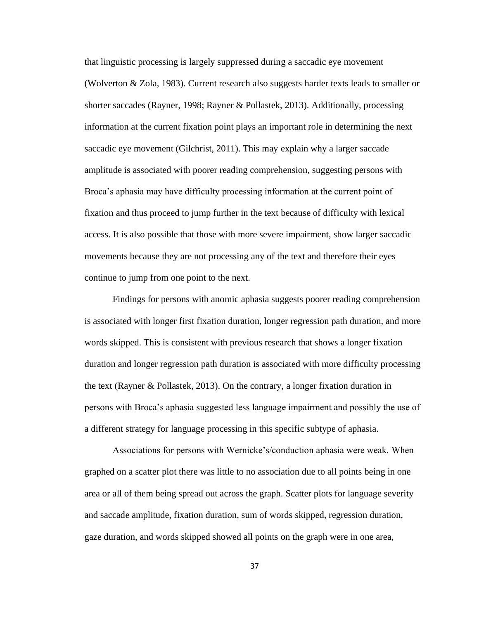that linguistic processing is largely suppressed during a saccadic eye movement (Wolverton & Zola, 1983). Current research also suggests harder texts leads to smaller or shorter saccades (Rayner, 1998; Rayner & Pollastek, 2013). Additionally, processing information at the current fixation point plays an important role in determining the next saccadic eye movement (Gilchrist, 2011). This may explain why a larger saccade amplitude is associated with poorer reading comprehension, suggesting persons with Broca's aphasia may have difficulty processing information at the current point of fixation and thus proceed to jump further in the text because of difficulty with lexical access. It is also possible that those with more severe impairment, show larger saccadic movements because they are not processing any of the text and therefore their eyes continue to jump from one point to the next.

Findings for persons with anomic aphasia suggests poorer reading comprehension is associated with longer first fixation duration, longer regression path duration, and more words skipped. This is consistent with previous research that shows a longer fixation duration and longer regression path duration is associated with more difficulty processing the text (Rayner & Pollastek, 2013). On the contrary, a longer fixation duration in persons with Broca's aphasia suggested less language impairment and possibly the use of a different strategy for language processing in this specific subtype of aphasia.

Associations for persons with Wernicke's/conduction aphasia were weak. When graphed on a scatter plot there was little to no association due to all points being in one area or all of them being spread out across the graph. Scatter plots for language severity and saccade amplitude, fixation duration, sum of words skipped, regression duration, gaze duration, and words skipped showed all points on the graph were in one area,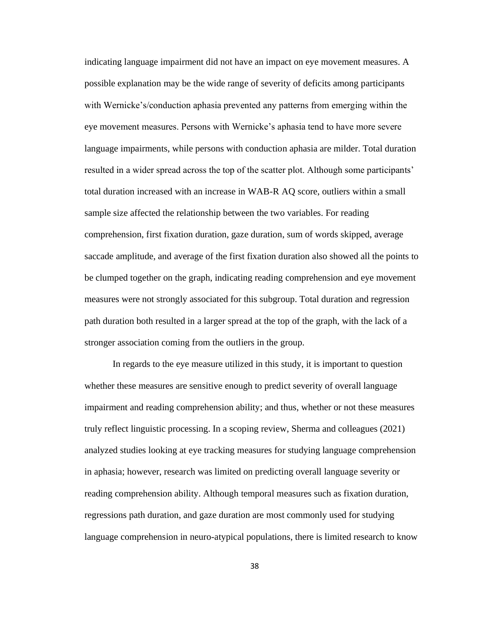indicating language impairment did not have an impact on eye movement measures. A possible explanation may be the wide range of severity of deficits among participants with Wernicke's/conduction aphasia prevented any patterns from emerging within the eye movement measures. Persons with Wernicke's aphasia tend to have more severe language impairments, while persons with conduction aphasia are milder. Total duration resulted in a wider spread across the top of the scatter plot. Although some participants' total duration increased with an increase in WAB-R AQ score, outliers within a small sample size affected the relationship between the two variables. For reading comprehension, first fixation duration, gaze duration, sum of words skipped, average saccade amplitude, and average of the first fixation duration also showed all the points to be clumped together on the graph, indicating reading comprehension and eye movement measures were not strongly associated for this subgroup. Total duration and regression path duration both resulted in a larger spread at the top of the graph, with the lack of a stronger association coming from the outliers in the group.

In regards to the eye measure utilized in this study, it is important to question whether these measures are sensitive enough to predict severity of overall language impairment and reading comprehension ability; and thus, whether or not these measures truly reflect linguistic processing. In a scoping review, Sherma and colleagues (2021) analyzed studies looking at eye tracking measures for studying language comprehension in aphasia; however, research was limited on predicting overall language severity or reading comprehension ability. Although temporal measures such as fixation duration, regressions path duration, and gaze duration are most commonly used for studying language comprehension in neuro-atypical populations, there is limited research to know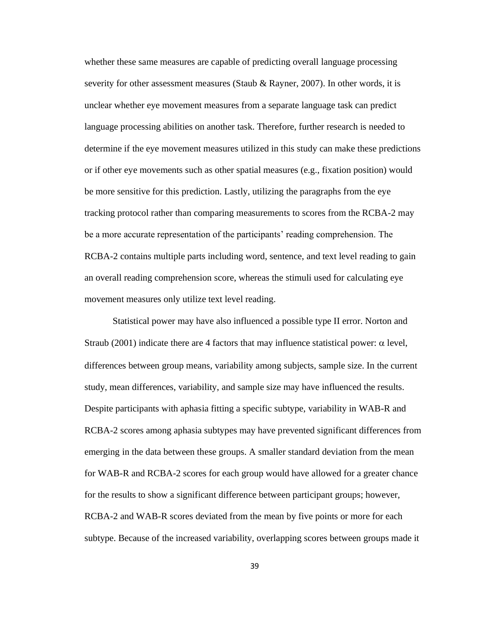whether these same measures are capable of predicting overall language processing severity for other assessment measures (Staub & Rayner, 2007). In other words, it is unclear whether eye movement measures from a separate language task can predict language processing abilities on another task. Therefore, further research is needed to determine if the eye movement measures utilized in this study can make these predictions or if other eye movements such as other spatial measures (e.g., fixation position) would be more sensitive for this prediction. Lastly, utilizing the paragraphs from the eye tracking protocol rather than comparing measurements to scores from the RCBA-2 may be a more accurate representation of the participants' reading comprehension. The RCBA-2 contains multiple parts including word, sentence, and text level reading to gain an overall reading comprehension score, whereas the stimuli used for calculating eye movement measures only utilize text level reading.

Statistical power may have also influenced a possible type II error. Norton and Straub (2001) indicate there are 4 factors that may influence statistical power:  $\alpha$  level, differences between group means, variability among subjects, sample size. In the current study, mean differences, variability, and sample size may have influenced the results. Despite participants with aphasia fitting a specific subtype, variability in WAB-R and RCBA-2 scores among aphasia subtypes may have prevented significant differences from emerging in the data between these groups. A smaller standard deviation from the mean for WAB-R and RCBA-2 scores for each group would have allowed for a greater chance for the results to show a significant difference between participant groups; however, RCBA-2 and WAB-R scores deviated from the mean by five points or more for each subtype. Because of the increased variability, overlapping scores between groups made it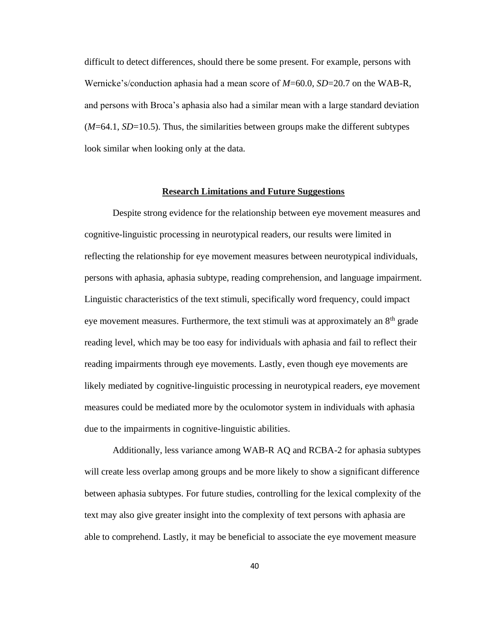difficult to detect differences, should there be some present. For example, persons with Wernicke's/conduction aphasia had a mean score of *M*=60.0, *SD*=20.7 on the WAB-R, and persons with Broca's aphasia also had a similar mean with a large standard deviation (*M*=64.1, *SD*=10.5). Thus, the similarities between groups make the different subtypes look similar when looking only at the data.

#### **Research Limitations and Future Suggestions**

Despite strong evidence for the relationship between eye movement measures and cognitive-linguistic processing in neurotypical readers, our results were limited in reflecting the relationship for eye movement measures between neurotypical individuals, persons with aphasia, aphasia subtype, reading comprehension, and language impairment. Linguistic characteristics of the text stimuli, specifically word frequency, could impact eye movement measures. Furthermore, the text stimuli was at approximately an 8<sup>th</sup> grade reading level, which may be too easy for individuals with aphasia and fail to reflect their reading impairments through eye movements. Lastly, even though eye movements are likely mediated by cognitive-linguistic processing in neurotypical readers, eye movement measures could be mediated more by the oculomotor system in individuals with aphasia due to the impairments in cognitive-linguistic abilities.

Additionally, less variance among WAB-R AQ and RCBA-2 for aphasia subtypes will create less overlap among groups and be more likely to show a significant difference between aphasia subtypes. For future studies, controlling for the lexical complexity of the text may also give greater insight into the complexity of text persons with aphasia are able to comprehend. Lastly, it may be beneficial to associate the eye movement measure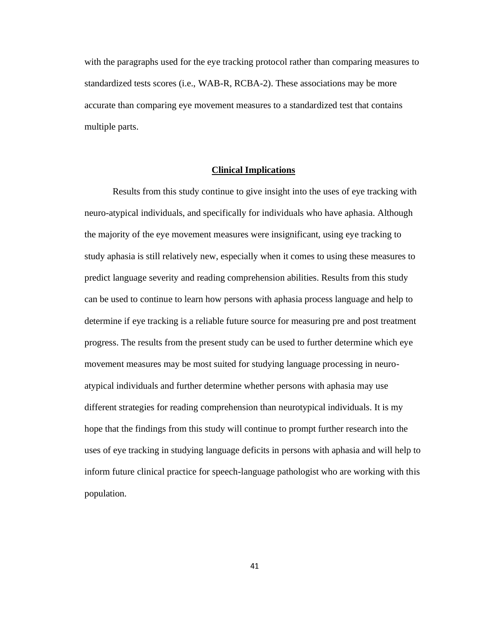with the paragraphs used for the eye tracking protocol rather than comparing measures to standardized tests scores (i.e., WAB-R, RCBA-2). These associations may be more accurate than comparing eye movement measures to a standardized test that contains multiple parts.

### **Clinical Implications**

Results from this study continue to give insight into the uses of eye tracking with neuro-atypical individuals, and specifically for individuals who have aphasia. Although the majority of the eye movement measures were insignificant, using eye tracking to study aphasia is still relatively new, especially when it comes to using these measures to predict language severity and reading comprehension abilities. Results from this study can be used to continue to learn how persons with aphasia process language and help to determine if eye tracking is a reliable future source for measuring pre and post treatment progress. The results from the present study can be used to further determine which eye movement measures may be most suited for studying language processing in neuroatypical individuals and further determine whether persons with aphasia may use different strategies for reading comprehension than neurotypical individuals. It is my hope that the findings from this study will continue to prompt further research into the uses of eye tracking in studying language deficits in persons with aphasia and will help to inform future clinical practice for speech-language pathologist who are working with this population.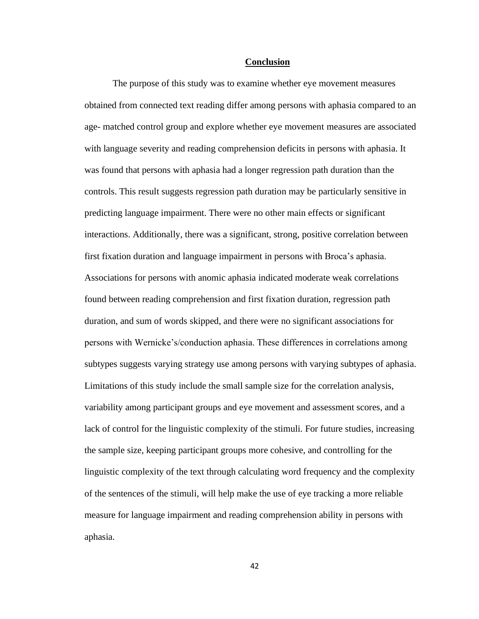#### **Conclusion**

The purpose of this study was to examine whether eye movement measures obtained from connected text reading differ among persons with aphasia compared to an age- matched control group and explore whether eye movement measures are associated with language severity and reading comprehension deficits in persons with aphasia. It was found that persons with aphasia had a longer regression path duration than the controls. This result suggests regression path duration may be particularly sensitive in predicting language impairment. There were no other main effects or significant interactions. Additionally, there was a significant, strong, positive correlation between first fixation duration and language impairment in persons with Broca's aphasia. Associations for persons with anomic aphasia indicated moderate weak correlations found between reading comprehension and first fixation duration, regression path duration, and sum of words skipped, and there were no significant associations for persons with Wernicke's/conduction aphasia. These differences in correlations among subtypes suggests varying strategy use among persons with varying subtypes of aphasia. Limitations of this study include the small sample size for the correlation analysis, variability among participant groups and eye movement and assessment scores, and a lack of control for the linguistic complexity of the stimuli. For future studies, increasing the sample size, keeping participant groups more cohesive, and controlling for the linguistic complexity of the text through calculating word frequency and the complexity of the sentences of the stimuli, will help make the use of eye tracking a more reliable measure for language impairment and reading comprehension ability in persons with aphasia.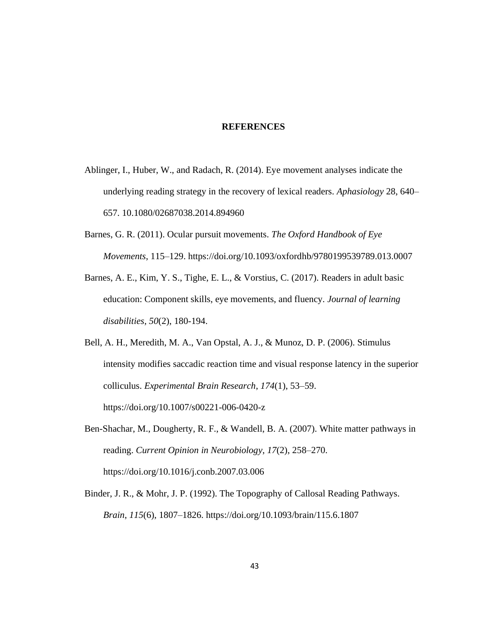### **REFERENCES**

- Ablinger, I., Huber, W., and Radach, R. (2014). Eye movement analyses indicate the underlying reading strategy in the recovery of lexical readers. *Aphasiology* 28, 640– 657. 10.1080/02687038.2014.894960
- Barnes, G. R. (2011). Ocular pursuit movements. *The Oxford Handbook of Eye Movements*, 115–129. https://doi.org/10.1093/oxfordhb/9780199539789.013.0007
- Barnes, A. E., Kim, Y. S., Tighe, E. L., & Vorstius, C. (2017). Readers in adult basic education: Component skills, eye movements, and fluency. *Journal of learning disabilities*, *50*(2), 180-194.
- Bell, A. H., Meredith, M. A., Van Opstal, A. J., & Munoz, D. P. (2006). Stimulus intensity modifies saccadic reaction time and visual response latency in the superior colliculus. *Experimental Brain Research*, *174*(1), 53–59. https://doi.org/10.1007/s00221-006-0420-z
- Ben-Shachar, M., Dougherty, R. F., & Wandell, B. A. (2007). White matter pathways in reading. *Current Opinion in Neurobiology*, *17*(2), 258–270. https://doi.org/10.1016/j.conb.2007.03.006
- Binder, J. R., & Mohr, J. P. (1992). The Topography of Callosal Reading Pathways. *Brain*, *115*(6), 1807–1826.<https://doi.org/10.1093/brain/115.6.1807>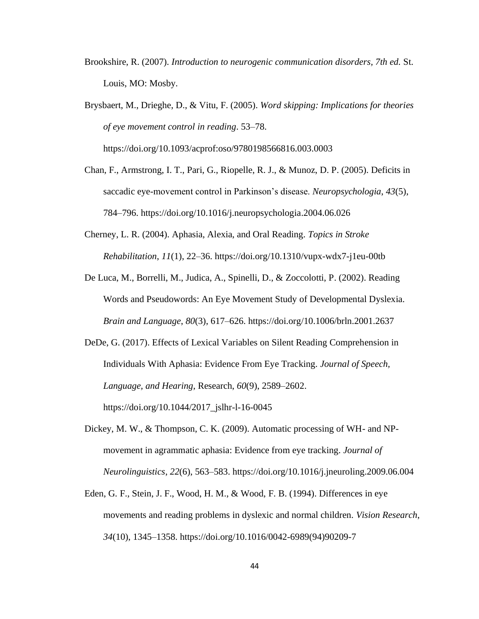- Brookshire, R. (2007). *Introduction to neurogenic communication disorders, 7th ed.* St. Louis, MO: Mosby.
- Brysbaert, M., Drieghe, D., & Vitu, F. (2005). *Word skipping: Implications for theories of eye movement control in reading*. 53–78.

https://doi.org/10.1093/acprof:oso/9780198566816.003.0003

- Chan, F., Armstrong, I. T., Pari, G., Riopelle, R. J., & Munoz, D. P. (2005). Deficits in saccadic eye-movement control in Parkinson's disease. *Neuropsychologia*, *43*(5), 784–796. https://doi.org/10.1016/j.neuropsychologia.2004.06.026
- Cherney, L. R. (2004). Aphasia, Alexia, and Oral Reading. *Topics in Stroke Rehabilitation*, *11*(1), 22–36. https://doi.org/10.1310/vupx-wdx7-j1eu-00tb
- De Luca, M., Borrelli, M., Judica, A., Spinelli, D., & Zoccolotti, P. (2002). Reading Words and Pseudowords: An Eye Movement Study of Developmental Dyslexia. *Brain and Language*, *80*(3), 617–626. https://doi.org/10.1006/brln.2001.2637

DeDe, G. (2017). Effects of Lexical Variables on Silent Reading Comprehension in Individuals With Aphasia: Evidence From Eye Tracking. *Journal of Speech, Language, and Hearing*, Research, *60*(9), 2589–2602. https://doi.org/10.1044/2017\_jslhr-l-16-0045

- Dickey, M. W., & Thompson, C. K. (2009). Automatic processing of WH- and NPmovement in agrammatic aphasia: Evidence from eye tracking. *Journal of Neurolinguistics*, *22*(6), 563–583. https://doi.org/10.1016/j.jneuroling.2009.06.004
- Eden, G. F., Stein, J. F., Wood, H. M., & Wood, F. B. (1994). Differences in eye movements and reading problems in dyslexic and normal children. *Vision Research*, *34*(10), 1345–1358. https://doi.org/10.1016/0042-6989(94)90209-7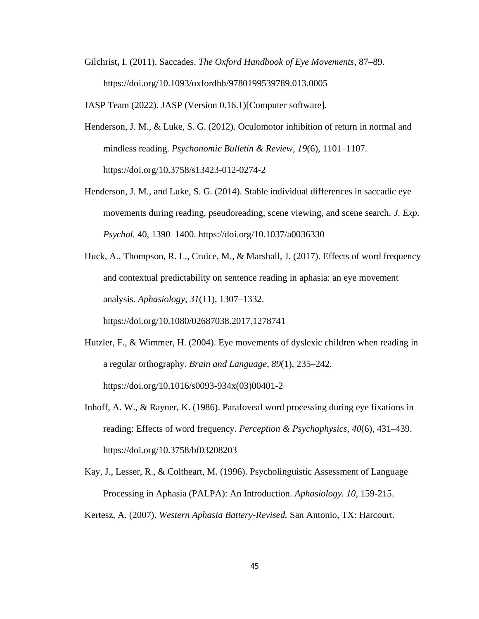Gilchrist**,** I. (2011). Saccades. *The Oxford Handbook of Eye Movements*, 87–89. https://doi.org/10.1093/oxfordhb/9780199539789.013.0005

JASP Team (2022). JASP (Version 0.16.1)[Computer software].

- Henderson, J. M., & Luke, S. G. (2012). Oculomotor inhibition of return in normal and mindless reading. *Psychonomic Bulletin & Review*, *19*(6), 1101–1107. https://doi.org/10.3758/s13423-012-0274-2
- Henderson, J. M., and Luke, S. G. (2014). Stable individual differences in saccadic eye movements during reading, pseudoreading, scene viewing, and scene search. *J. Exp. Psychol.* 40, 1390–1400. https://doi.org/10.1037/a0036330
- Huck, A., Thompson, R. L., Cruice, M., & Marshall, J. (2017). Effects of word frequency and contextual predictability on sentence reading in aphasia: an eye movement analysis. *Aphasiology*, *31*(11), 1307–1332.

https://doi.org/10.1080/02687038.2017.1278741

- Hutzler, F., & Wimmer, H. (2004). Eye movements of dyslexic children when reading in a regular orthography. *Brain and Language*, *89*(1), 235–242. https://doi.org/10.1016/s0093-934x(03)00401-2
- Inhoff, A. W., & Rayner, K. (1986). Parafoveal word processing during eye fixations in reading: Effects of word frequency. *Perception & Psychophysics*, *40*(6), 431–439. https://doi.org/10.3758/bf03208203
- Kay, J., Lesser, R., & Coltheart, M. (1996). Psycholinguistic Assessment of Language Processing in Aphasia (PALPA): An Introduction. *Aphasiology. 10,* 159-215.

Kertesz, A. (2007). *Western Aphasia Battery-Revised.* San Antonio, TX: Harcourt.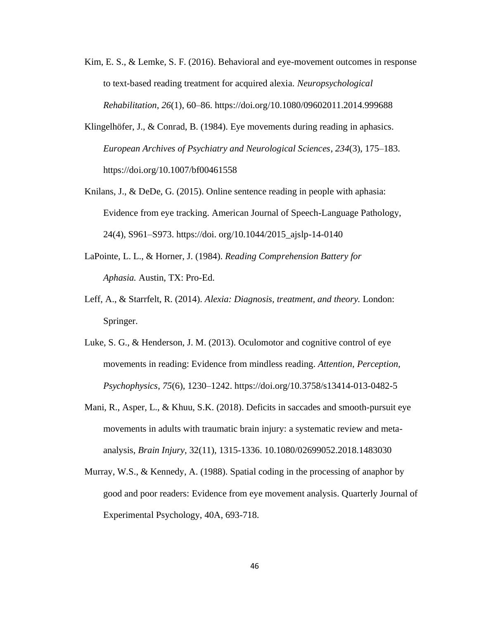- Kim, E. S., & Lemke, S. F. (2016). Behavioral and eye-movement outcomes in response to text-based reading treatment for acquired alexia. *Neuropsychological Rehabilitation*, *26*(1), 60–86. https://doi.org/10.1080/09602011.2014.999688
- Klingelhöfer, J., & Conrad, B. (1984). Eye movements during reading in aphasics. *European Archives of Psychiatry and Neurological Sciences*, *234*(3), 175–183. https://doi.org/10.1007/bf00461558
- Knilans, J., & DeDe, G. (2015). Online sentence reading in people with aphasia: Evidence from eye tracking. American Journal of Speech-Language Pathology, 24(4), S961–S973. https://doi. org/10.1044/2015\_ajslp-14-0140
- LaPointe, L. L., & Horner, J. (1984). *Reading Comprehension Battery for Aphasia.* Austin, TX: Pro-Ed.
- Leff, A., & Starrfelt, R. (2014). *Alexia: Diagnosis, treatment, and theory.* London: Springer.
- Luke, S. G., & Henderson, J. M. (2013). Oculomotor and cognitive control of eye movements in reading: Evidence from mindless reading. *Attention, Perception, Psychophysics*, *75*(6), 1230–1242. https://doi.org/10.3758/s13414-013-0482-5
- Mani, R., Asper, L., & Khuu, S.K. (2018). Deficits in saccades and smooth-pursuit eye movements in adults with traumatic brain injury: a systematic review and metaanalysis, *Brain Injury*, 32(11), 1315-1336. 10.1080/02699052.2018.1483030
- Murray, W.S., & Kennedy, A. (1988). Spatial coding in the processing of anaphor by good and poor readers: Evidence from eye movement analysis. Quarterly Journal of Experimental Psychology, 40A, 693-718.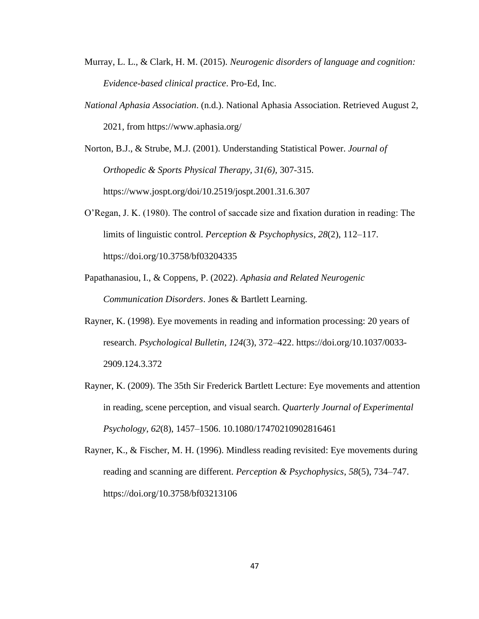- Murray, L. L., & Clark, H. M. (2015). *Neurogenic disorders of language and cognition: Evidence-based clinical practice*. Pro-Ed, Inc.
- *National Aphasia Association*. (n.d.). National Aphasia Association. Retrieved August 2, 2021, from https://www.aphasia.org/

Norton, B.J., & Strube, M.J. (2001). Understanding Statistical Power. *Journal of Orthopedic & Sports Physical Therapy, 31(6),* 307-315. https://www.jospt.org/doi/10.2519/jospt.2001.31.6.307

- O'Regan, J. K. (1980). The control of saccade size and fixation duration in reading: The limits of linguistic control. *Perception & Psychophysics*, *28*(2), 112–117. https://doi.org/10.3758/bf03204335
- Papathanasiou, I., & Coppens, P. (2022). *Aphasia and Related Neurogenic Communication Disorders*. Jones & Bartlett Learning.
- Rayner, K. (1998). Eye movements in reading and information processing: 20 years of research. *Psychological Bulletin*, *124*(3), 372–422. https://doi.org/10.1037/0033- 2909.124.3.372
- Rayner, K. (2009). The 35th Sir Frederick Bartlett Lecture: Eye movements and attention in reading, scene perception, and visual search. *Quarterly Journal of Experimental Psychology*, *62*(8), 1457–1506. 10.1080/17470210902816461
- Rayner, K., & Fischer, M. H. (1996). Mindless reading revisited: Eye movements during reading and scanning are different. *Perception & Psychophysics*, *58*(5), 734–747. https://doi.org/10.3758/bf03213106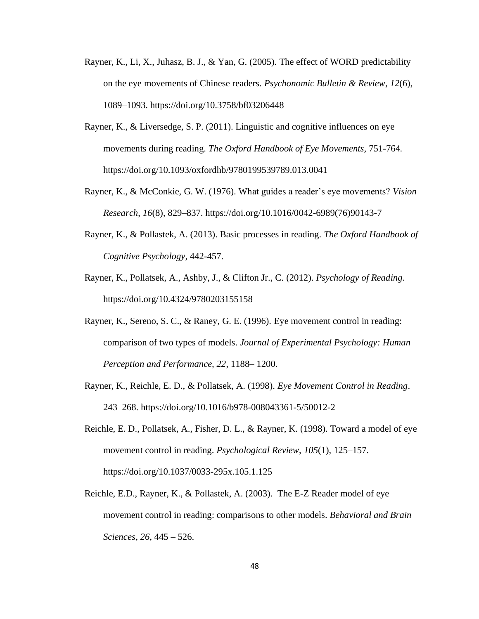- Rayner, K., Li, X., Juhasz, B. J., & Yan, G. (2005). The effect of WORD predictability on the eye movements of Chinese readers. *Psychonomic Bulletin & Review*, *12*(6), 1089–1093. https://doi.org/10.3758/bf03206448
- Rayner, K., & Liversedge, S. P. (2011). Linguistic and cognitive influences on eye movements during reading. *The Oxford Handbook of Eye Movements,* 751-764*.*  https://doi.org/10.1093/oxfordhb/9780199539789.013.0041
- Rayner, K., & McConkie, G. W. (1976). What guides a reader's eye movements? *Vision Research*, *16*(8), 829–837. https://doi.org/10.1016/0042-6989(76)90143-7
- Rayner, K., & Pollastek, A. (2013). Basic processes in reading. *The Oxford Handbook of Cognitive Psychology*, 442-457.
- Rayner, K., Pollatsek, A., Ashby, J., & Clifton Jr., C. (2012). *Psychology of Reading*. https://doi.org/10.4324/9780203155158
- Rayner, K., Sereno, S. C., & Raney, G. E. (1996). Eye movement control in reading: comparison of two types of models. *Journal of Experimental Psychology: Human Perception and Performance, 22*, 1188– 1200.
- Rayner, K., Reichle, E. D., & Pollatsek, A. (1998). *Eye Movement Control in Reading*. 243–268. https://doi.org/10.1016/b978-008043361-5/50012-2
- Reichle, E. D., Pollatsek, A., Fisher, D. L., & Rayner, K. (1998). Toward a model of eye movement control in reading. *Psychological Review*, *105*(1), 125–157. https://doi.org/10.1037/0033-295x.105.1.125
- Reichle, E.D., Rayner, K., & Pollastek, A. (2003). The E-Z Reader model of eye movement control in reading: comparisons to other models. *Behavioral and Brain Sciences*, *26*, 445 – 526.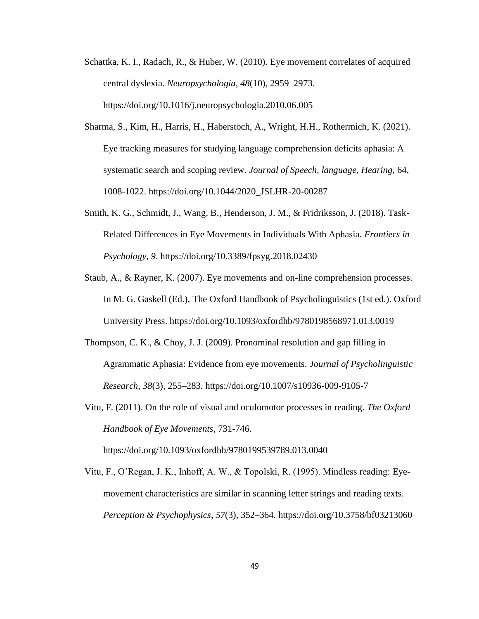- Schattka, K. I., Radach, R., & Huber, W. (2010). Eye movement correlates of acquired central dyslexia. *Neuropsychologia*, *48*(10), 2959–2973. https://doi.org/10.1016/j.neuropsychologia.2010.06.005
- Sharma, S., Kim, H., Harris, H., Haberstoch, A., Wright, H.H., Rothermich, K. (2021). Eye tracking measures for studying language comprehension deficits aphasia: A systematic search and scoping review. *Journal of Speech, language, Hearing*, 64, 1008-1022. https://doi.org/10.1044/2020\_JSLHR-20-00287
- Smith, K. G., Schmidt, J., Wang, B., Henderson, J. M., & Fridriksson, J. (2018). Task-Related Differences in Eye Movements in Individuals With Aphasia. *Frontiers in Psychology*, *9*. https://doi.org/10.3389/fpsyg.2018.02430
- Staub, A., & Rayner, K. (2007). Eye movements and on-line comprehension processes. In M. G. Gaskell (Ed.), The Oxford Handbook of Psycholinguistics (1st ed.). Oxford University Press. https://doi.org/10.1093/oxfordhb/9780198568971.013.0019
- Thompson, C. K., & Choy, J. J. (2009). Pronominal resolution and gap filling in Agrammatic Aphasia: Evidence from eye movements. *Journal of Psycholinguistic Research*, *38*(3), 255–283. https://doi.org/10.1007/s10936-009-9105-7
- Vitu, F. (2011). On the role of visual and oculomotor processes in reading. *The Oxford Handbook of Eye Movements*, 731-746.

https://doi.org/10.1093/oxfordhb/9780199539789.013.0040

Vitu, F., O'Regan, J. K., Inhoff, A. W., & Topolski, R. (1995). Mindless reading: Eyemovement characteristics are similar in scanning letter strings and reading texts. *Perception & Psychophysics*, *57*(3), 352–364. https://doi.org/10.3758/bf03213060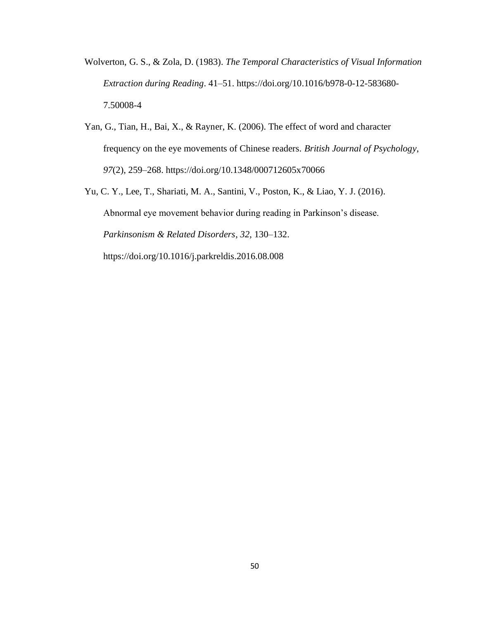- Wolverton, G. S., & Zola, D. (1983). *The Temporal Characteristics of Visual Information Extraction during Reading*. 41–51. https://doi.org/10.1016/b978-0-12-583680- 7.50008-4
- Yan, G., Tian, H., Bai, X., & Rayner, K. (2006). The effect of word and character frequency on the eye movements of Chinese readers. *British Journal of Psychology*, *97*(2), 259–268. https://doi.org/10.1348/000712605x70066
- Yu, C. Y., Lee, T., Shariati, M. A., Santini, V., Poston, K., & Liao, Y. J. (2016). Abnormal eye movement behavior during reading in Parkinson's disease. *Parkinsonism & Related Disorders*, *32*, 130–132. https://doi.org/10.1016/j.parkreldis.2016.08.008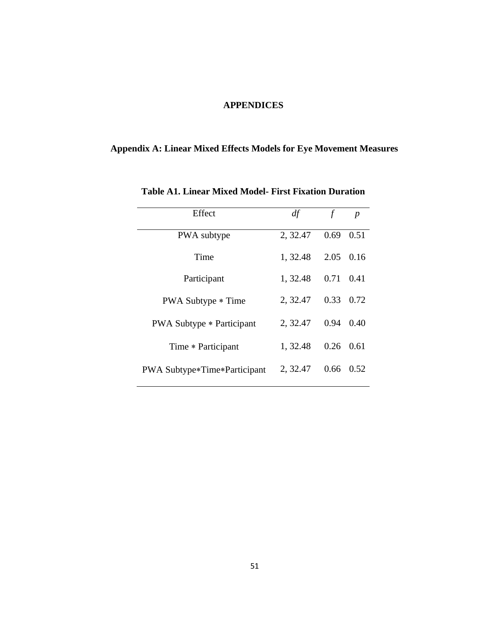### **APPENDICES**

## **Appendix A: Linear Mixed Effects Models for Eye Movement Measures**

| Effect                                | df       | f    | $\boldsymbol{p}$ |
|---------------------------------------|----------|------|------------------|
| PWA subtype                           | 2, 32.47 | 0.69 | 0.51             |
| Time                                  | 1, 32.48 | 2.05 | 0.16             |
| Participant                           | 1, 32.48 | 0.71 | 0.41             |
| <b>PWA Subtype * Time</b>             | 2, 32.47 | 0.33 | 0.72             |
| <b>PWA Subtype * Participant</b>      | 2, 32.47 | 0.94 | 0.40             |
| Time * Participant                    | 1, 32.48 | 0.26 | 0.61             |
| <b>PWA Subtype *Time *Participant</b> | 2, 32.47 | 0.66 | 0.52             |

**Table A1. Linear Mixed Model- First Fixation Duration**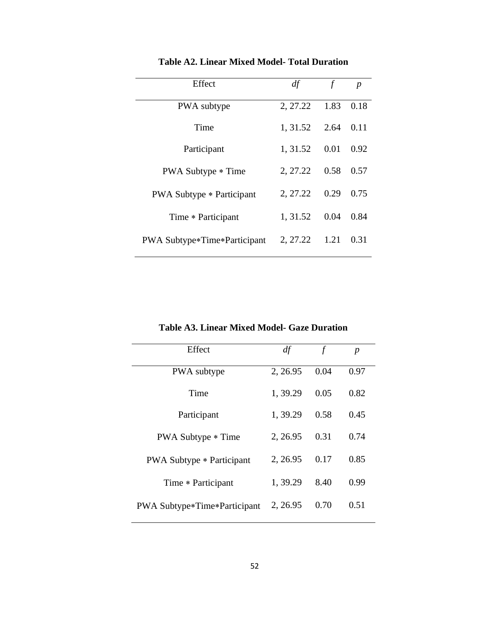| Effect                              | df       | f    | $\boldsymbol{p}$ |
|-------------------------------------|----------|------|------------------|
| PWA subtype                         | 2, 27.22 | 1.83 | 0.18             |
| Time                                | 1, 31.52 | 2.64 | 0.11             |
| Participant                         | 1, 31.52 | 0.01 | 0.92             |
| PWA Subtype * Time                  | 2, 27.22 | 0.58 | 0.57             |
| <b>PWA Subtype * Participant</b>    | 2, 27.22 | 0.29 | 0.75             |
| Time * Participant                  | 1, 31.52 | 0.04 | 0.84             |
| <b>PWA Subtype*Time*Participant</b> | 2, 27.22 | 1.21 | 0.31             |

**Table A2. Linear Mixed Model- Total Duration**

**Table A3. Linear Mixed Model- Gaze Duration**

| Effect                                | df       | $\mathcal{f}$ | $\boldsymbol{p}$ |
|---------------------------------------|----------|---------------|------------------|
| PWA subtype                           | 2, 26.95 | 0.04          | 0.97             |
| Time                                  | 1,39.29  | 0.05          | 0.82             |
| Participant                           | 1, 39.29 | 0.58          | 0.45             |
| PWA Subtype * Time                    | 2, 26.95 | 0.31          | 0.74             |
| <b>PWA Subtype * Participant</b>      | 2, 26.95 | 0.17          | 0.85             |
| Time * Participant                    | 1, 39.29 | 8.40          | 0.99             |
| <b>PWA Subtype *Time *Participant</b> | 2, 26.95 | 0.70          | 0.51             |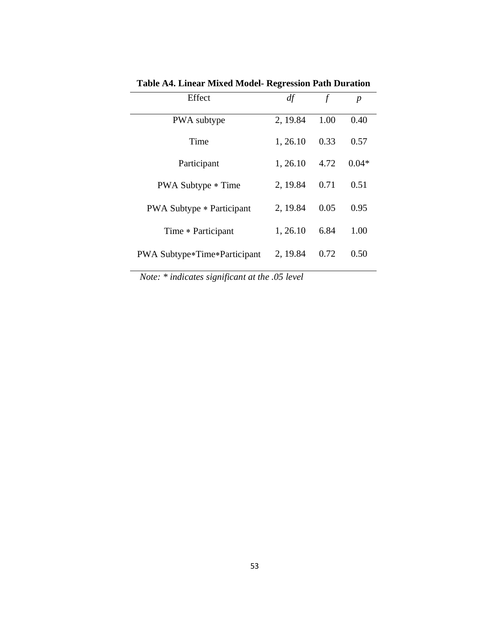| Effect                                | df       |      | р       |
|---------------------------------------|----------|------|---------|
| PWA subtype                           | 2, 19.84 | 1.00 | 0.40    |
| Time                                  | 1, 26.10 | 0.33 | 0.57    |
| Participant                           | 1, 26.10 | 4.72 | $0.04*$ |
| PWA Subtype * Time                    | 2, 19.84 | 0.71 | 0.51    |
| <b>PWA Subtype * Participant</b>      | 2, 19.84 | 0.05 | 0.95    |
| Time * Participant                    | 1, 26.10 | 6.84 | 1.00    |
| <b>PWA Subtype *Time *Participant</b> | 2, 19.84 | 0.72 | 0.50    |

**Table A4. Linear Mixed Model- Regression Path Duration**

*Note: \* indicates significant at the .05 level*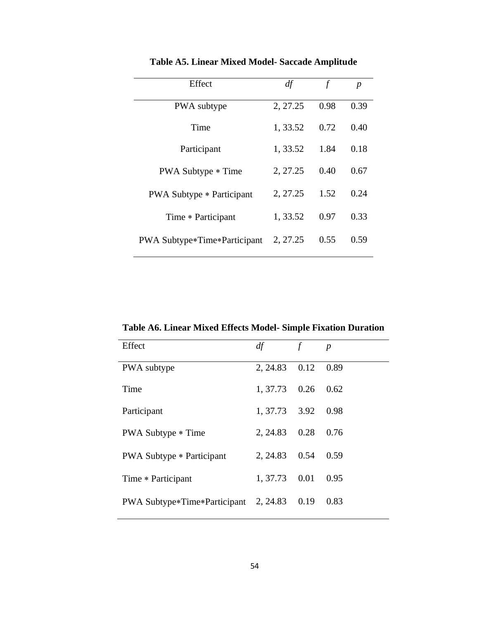| Effect                                | df       | f    | $\boldsymbol{p}$ |
|---------------------------------------|----------|------|------------------|
| PWA subtype                           | 2, 27.25 | 0.98 | 0.39             |
| Time                                  | 1,33.52  | 0.72 | 0.40             |
| Participant                           | 1, 33.52 | 1.84 | 0.18             |
| PWA Subtype * Time                    | 2, 27.25 | 0.40 | 0.67             |
| <b>PWA Subtype * Participant</b>      | 2, 27.25 | 1.52 | 0.24             |
| Time * Participant                    | 1,33.52  | 0.97 | 0.33             |
| <b>PWA Subtype *Time *Participant</b> | 2, 27.25 | 0.55 | 0.59             |

**Table A5. Linear Mixed Model- Saccade Amplitude**

**Table A6. Linear Mixed Effects Model- Simple Fixation Duration**

| Effect                                | df                | $\mathcal{f}$ | $\boldsymbol{p}$ |
|---------------------------------------|-------------------|---------------|------------------|
| PWA subtype                           | 2, 24.83          | 0.12          | 0.89             |
| Time                                  | $1, 37.73$ 0.26   |               | 0.62             |
| Participant                           | $1, 37.73$ $3.92$ |               | 0.98             |
| <b>PWA Subtype * Time</b>             | 2, 24.83 0.28     |               | 0.76             |
| <b>PWA Subtype * Participant</b>      | 2, 24.83 0.54     |               | 0.59             |
| Time * Participant                    | $1, 37.73$ 0.01   |               | 0.95             |
| PWA Subtype*Time*Participant 2, 24.83 |                   | 0.19          | 0.83             |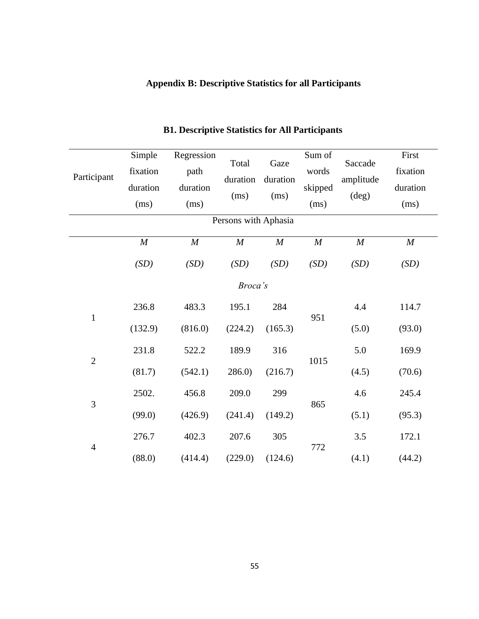## **Appendix B: Descriptive Statistics for all Participants**

| Participant          | Simple<br>fixation<br>duration<br>(ms) | Regression<br>path<br>duration<br>(ms) | Total<br>duration<br>(ms) | Gaze<br>duration<br>(ms) | Sum of<br>words<br>skipped<br>(ms) | Saccade<br>amplitude<br>$(\text{deg})$ | First<br>fixation<br>duration<br>(ms) |  |  |
|----------------------|----------------------------------------|----------------------------------------|---------------------------|--------------------------|------------------------------------|----------------------------------------|---------------------------------------|--|--|
| Persons with Aphasia |                                        |                                        |                           |                          |                                    |                                        |                                       |  |  |
|                      | $\cal M$                               | $\cal M$                               | M                         | $\cal M$                 | $\cal M$                           | $\boldsymbol{M}$                       | $\boldsymbol{M}$                      |  |  |
|                      | (SD)                                   | (SD)                                   | (SD)                      | (SD)                     | (SD)                               | (SD)                                   | (SD)                                  |  |  |
|                      |                                        |                                        | Broca's                   |                          |                                    |                                        |                                       |  |  |
|                      | 236.8                                  | 483.3                                  | 195.1                     | 284                      | 951                                | 4.4                                    | 114.7                                 |  |  |
| $\mathbf{1}$         | (132.9)                                | (816.0)                                | (224.2)                   | (165.3)                  |                                    | (5.0)                                  | (93.0)                                |  |  |
| $\overline{2}$       | 231.8                                  | 522.2                                  | 189.9                     | 316                      | 1015                               | 5.0                                    | 169.9                                 |  |  |
|                      | (81.7)                                 | (542.1)                                | 286.0                     | (216.7)                  |                                    | (4.5)                                  | (70.6)                                |  |  |
| 3                    | 2502.                                  | 456.8                                  | 209.0                     | 299                      | 865                                | 4.6                                    | 245.4                                 |  |  |
|                      | (99.0)                                 | (426.9)                                | (241.4)                   | (149.2)                  |                                    | (5.1)                                  | (95.3)                                |  |  |
|                      | 276.7                                  | 402.3                                  | 207.6                     | 305                      |                                    | 3.5                                    | 172.1                                 |  |  |
| $\overline{4}$       | (88.0)                                 | (414.4)                                | (229.0)                   | (124.6)                  | 772                                | (4.1)                                  | (44.2)                                |  |  |

### **B1. Descriptive Statistics for All Participants**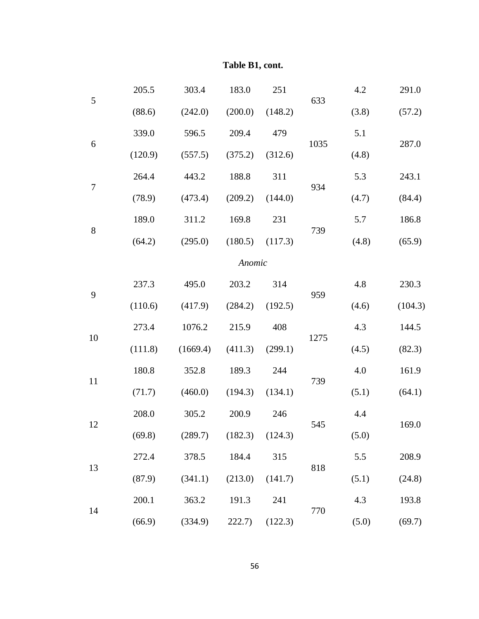|        | 205.5   | 303.4    | 183.0               | 251     |      | 4.2   | 291.0   |
|--------|---------|----------|---------------------|---------|------|-------|---------|
| 5      | (88.6)  | (242.0)  | (200.0)             | (148.2) | 633  | (3.8) | (57.2)  |
|        | 339.0   | 596.5    | 209.4               | 479     |      | 5.1   |         |
| 6      | (120.9) | (557.5)  | (375.2)             | (312.6) | 1035 | (4.8) | 287.0   |
| $\tau$ | 264.4   | 443.2    | 188.8               | 311     | 934  | 5.3   | 243.1   |
|        | (78.9)  | (473.4)  | (209.2)             | (144.0) |      | (4.7) | (84.4)  |
| 8      | 189.0   | 311.2    | 169.8               | 231     | 739  | 5.7   | 186.8   |
|        | (64.2)  | (295.0)  | $(180.5)$ $(117.3)$ |         |      | (4.8) | (65.9)  |
|        |         |          | Anomic              |         |      |       |         |
| 9      | 237.3   | 495.0    | 203.2               | 314     | 959  | 4.8   | 230.3   |
|        | (110.6) | (417.9)  | (284.2)             | (192.5) |      | (4.6) | (104.3) |
| 10     | 273.4   | 1076.2   | 215.9               | 408     | 1275 | 4.3   | 144.5   |
|        | (111.8) | (1669.4) | (411.3)             | (299.1) |      | (4.5) | (82.3)  |
| 11     | 180.8   | 352.8    | 189.3               | 244     | 739  | 4.0   | 161.9   |
|        | (71.7)  | (460.0)  | (194.3)             | (134.1) |      | (5.1) | (64.1)  |
| 12     | 208.0   | 305.2    | 200.9               | 246     | 545  | 4.4   | 169.0   |
|        | (69.8)  | (289.7)  | (182.3)             | (124.3) |      | (5.0) |         |
| 13     | 272.4   | 378.5    | 184.4               | 315     | 818  | 5.5   | 208.9   |
|        | (87.9)  | (341.1)  | (213.0)             | (141.7) |      | (5.1) | (24.8)  |
| 14     | 200.1   | 363.2    | 191.3               | 241     | 770  | 4.3   | 193.8   |
|        | (66.9)  | (334.9)  | 222.7)              | (122.3) |      | (5.0) | (69.7)  |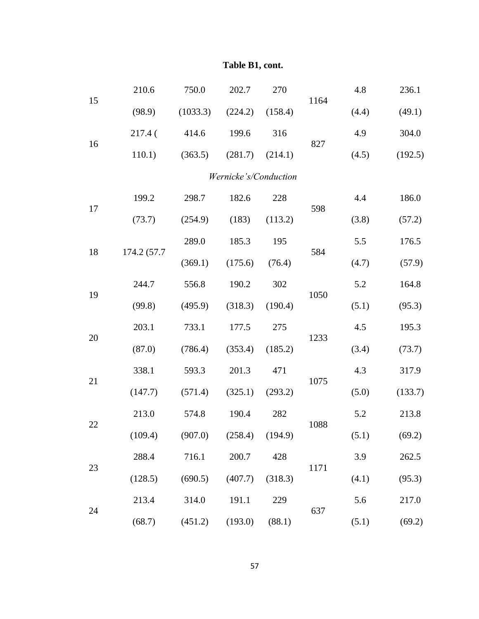|    | 210.6       | 750.0    | 202.7                 | 270     |      | 4.8   | 236.1   |
|----|-------------|----------|-----------------------|---------|------|-------|---------|
| 15 | (98.9)      | (1033.3) | (224.2)               | (158.4) | 1164 | (4.4) | (49.1)  |
|    | 217.4<      | 414.6    | 199.6                 | 316     |      | 4.9   | 304.0   |
| 16 | 110.1)      | (363.5)  | (281.7)               | (214.1) | 827  | (4.5) | (192.5) |
|    |             |          | Wernicke's/Conduction |         |      |       |         |
|    | 199.2       | 298.7    | 182.6                 | 228     |      | 4.4   | 186.0   |
| 17 | (73.7)      | (254.9)  | (183)                 | (113.2) | 598  | (3.8) | (57.2)  |
|    |             | 289.0    | 185.3                 | 195     |      | 5.5   | 176.5   |
| 18 | 174.2 (57.7 | (369.1)  | (175.6)               | (76.4)  | 584  | (4.7) | (57.9)  |
|    | 244.7       | 556.8    | 190.2                 | 302     |      | 5.2   | 164.8   |
| 19 | (99.8)      | (495.9)  | (318.3)               | (190.4) | 1050 | (5.1) | (95.3)  |
|    | 203.1       | 733.1    | 177.5                 | 275     | 1233 | 4.5   | 195.3   |
| 20 | (87.0)      | (786.4)  | (353.4)               | (185.2) |      | (3.4) | (73.7)  |
| 21 | 338.1       | 593.3    | 201.3                 | 471     | 1075 | 4.3   | 317.9   |
|    | (147.7)     | (571.4)  | (325.1)               | (293.2) |      | (5.0) | (133.7) |
| 22 | 213.0       | 574.8    | 190.4                 | 282     | 1088 | 5.2   | 213.8   |
|    | (109.4)     | (907.0)  | $(258.4)$ $(194.9)$   |         |      | (5.1) | (69.2)  |
| 23 | 288.4       | 716.1    | 200.7                 | 428     | 1171 | 3.9   | 262.5   |
|    | (128.5)     | (690.5)  | (407.7)               | (318.3) |      | (4.1) | (95.3)  |
|    | 213.4       | 314.0    | 191.1                 | 229     | 637  | 5.6   | 217.0   |
| 24 | (68.7)      | (451.2)  | (193.0)               | (88.1)  |      | (5.1) | (69.2)  |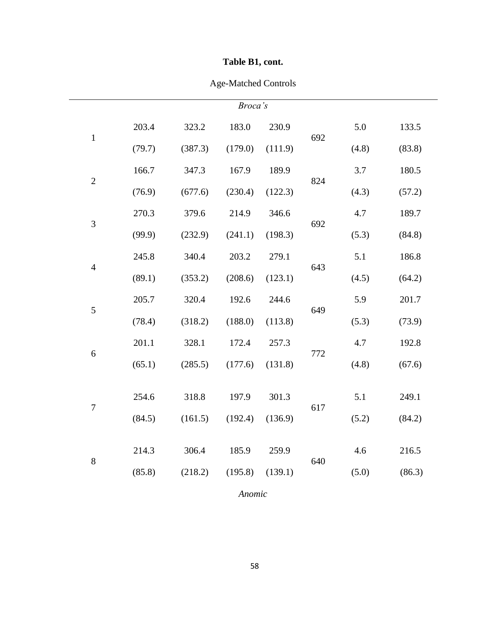## Age-Matched Controls

| Broca's          |        |         |         |         |     |       |        |  |
|------------------|--------|---------|---------|---------|-----|-------|--------|--|
| $\,1\,$          | 203.4  | 323.2   | 183.0   | 230.9   | 692 | 5.0   | 133.5  |  |
|                  | (79.7) | (387.3) | (179.0) | (111.9) |     | (4.8) | (83.8) |  |
| $\overline{2}$   | 166.7  | 347.3   | 167.9   | 189.9   | 824 | 3.7   | 180.5  |  |
|                  | (76.9) | (677.6) | (230.4) | (122.3) |     | (4.3) | (57.2) |  |
| 3                | 270.3  | 379.6   | 214.9   | 346.6   | 692 | 4.7   | 189.7  |  |
|                  | (99.9) | (232.9) | (241.1) | (198.3) |     | (5.3) | (84.8) |  |
| $\overline{4}$   | 245.8  | 340.4   | 203.2   | 279.1   | 643 | 5.1   | 186.8  |  |
|                  | (89.1) | (353.2) | (208.6) | (123.1) |     | (4.5) | (64.2) |  |
| $\sqrt{5}$       | 205.7  | 320.4   | 192.6   | 244.6   | 649 | 5.9   | 201.7  |  |
|                  | (78.4) | (318.2) | (188.0) | (113.8) |     | (5.3) | (73.9) |  |
| 6                | 201.1  | 328.1   | 172.4   | 257.3   | 772 | 4.7   | 192.8  |  |
|                  | (65.1) | (285.5) | (177.6) | (131.8) |     | (4.8) | (67.6) |  |
|                  | 254.6  | 318.8   | 197.9   | 301.3   |     | 5.1   | 249.1  |  |
| $\boldsymbol{7}$ | (84.5) | (161.5) | (192.4) | (136.9) | 617 | (5.2) | (84.2) |  |
|                  |        |         |         |         |     |       |        |  |
| $8\,$            | 214.3  | 306.4   | 185.9   | 259.9   | 640 | 4.6   | 216.5  |  |
|                  | (85.8) | (218.2) | (195.8) | (139.1) |     | (5.0) | (86.3) |  |

*Anomic*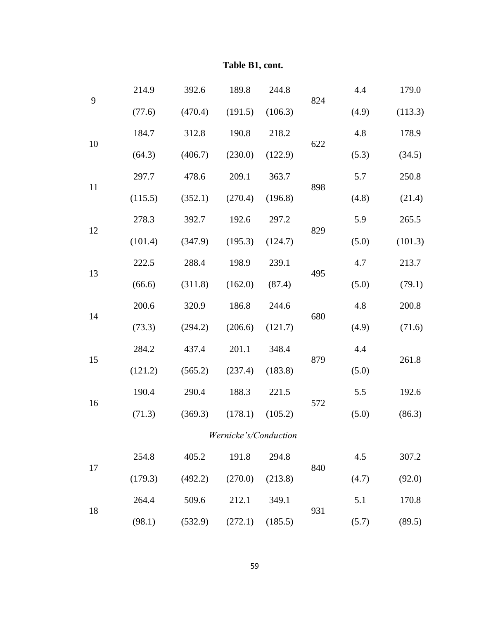|       | 214.9   | 392.6   | 189.8                 | 244.8   |     | 4.4   | 179.0   |
|-------|---------|---------|-----------------------|---------|-----|-------|---------|
| 9     | (77.6)  | (470.4) | (191.5)               | (106.3) | 824 | (4.9) | (113.3) |
|       | 184.7   | 312.8   | 190.8                 | 218.2   |     | 4.8   | 178.9   |
| 10    | (64.3)  | (406.7) | (230.0)               | (122.9) | 622 | (5.3) | (34.5)  |
|       | 297.7   | 478.6   | 209.1                 | 363.7   |     | 5.7   | 250.8   |
| 11    | (115.5) | (352.1) | (270.4)               | (196.8) | 898 | (4.8) | (21.4)  |
| 12    | 278.3   | 392.7   | 192.6                 | 297.2   | 829 | 5.9   | 265.5   |
|       | (101.4) | (347.9) | (195.3)               | (124.7) |     | (5.0) | (101.3) |
| 222.5 |         | 288.4   | 198.9                 | 239.1   | 495 | 4.7   | 213.7   |
| 13    | (66.6)  | (311.8) | (162.0)               | (87.4)  |     | (5.0) | (79.1)  |
| 14    | 200.6   | 320.9   | 186.8                 | 244.6   | 680 | 4.8   | 200.8   |
|       | (73.3)  | (294.2) | (206.6)               | (121.7) |     | (4.9) | (71.6)  |
| 15    | 284.2   | 437.4   | 201.1                 | 348.4   | 879 | 4.4   | 261.8   |
|       | (121.2) | (565.2) | (237.4)               | (183.8) |     | (5.0) |         |
| 16    | 190.4   | 290.4   | 188.3                 | 221.5   | 572 | 5.5   | 192.6   |
|       | (71.3)  | (369.3) | (178.1)               | (105.2) |     | (5.0) | (86.3)  |
|       |         |         | Wernicke's/Conduction |         |     |       |         |
| 17    | 254.8   | 405.2   | 191.8                 | 294.8   | 840 | 4.5   | 307.2   |
|       | (179.3) | (492.2) | (270.0)               | (213.8) |     | (4.7) | (92.0)  |
| 18    | 264.4   | 509.6   | 212.1                 | 349.1   | 931 | 5.1   | 170.8   |
|       | (98.1)  | (532.9) | (272.1)               | (185.5) |     | (5.7) | (89.5)  |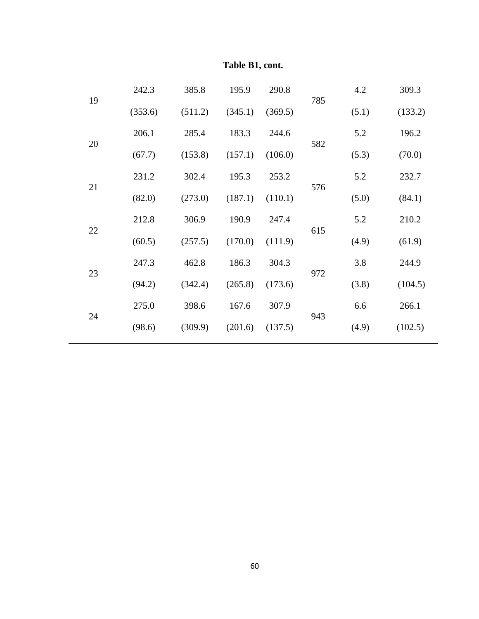| 19 | 242.3   | 385.8   | 195.9   | 290.8   | 785 | 4.2   | 309.3   |
|----|---------|---------|---------|---------|-----|-------|---------|
|    | (353.6) | (511.2) | (345.1) | (369.5) |     | (5.1) | (133.2) |
| 20 | 206.1   | 285.4   | 183.3   | 244.6   | 582 | 5.2   | 196.2   |
|    | (67.7)  | (153.8) | (157.1) | (106.0) |     | (5.3) | (70.0)  |
| 21 | 231.2   | 302.4   | 195.3   | 253.2   | 576 | 5.2   | 232.7   |
|    | (82.0)  | (273.0) | (187.1) | (110.1) |     | (5.0) | (84.1)  |
| 22 | 212.8   | 306.9   | 190.9   | 247.4   | 615 | 5.2   | 210.2   |
|    | (60.5)  | (257.5) | (170.0) | (111.9) |     | (4.9) | (61.9)  |
| 23 | 247.3   | 462.8   | 186.3   | 304.3   | 972 | 3.8   | 244.9   |
|    | (94.2)  | (342.4) | (265.8) | (173.6) |     | (3.8) | (104.5) |
| 24 | 275.0   | 398.6   | 167.6   | 307.9   | 943 | 6.6   | 266.1   |
|    | (98.6)  | (309.9) | (201.6) | (137.5) |     | (4.9) | (102.5) |